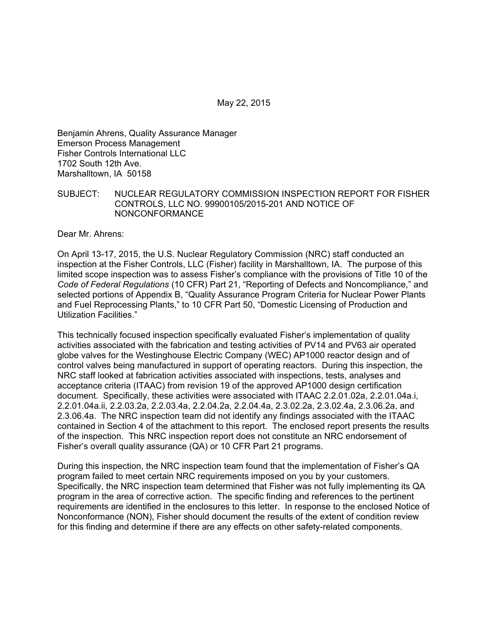May 22, 2015

Benjamin Ahrens, Quality Assurance Manager Emerson Process Management Fisher Controls International LLC 1702 South 12th Ave. Marshalltown, IA 50158

#### SUBJECT: NUCLEAR REGULATORY COMMISSION INSPECTION REPORT FOR FISHER CONTROLS, LLC NO. 99900105/2015-201 AND NOTICE OF NONCONFORMANCE

Dear Mr. Ahrens:

On April 13-17, 2015, the U.S. Nuclear Regulatory Commission (NRC) staff conducted an inspection at the Fisher Controls, LLC (Fisher) facility in Marshalltown, IA. The purpose of this limited scope inspection was to assess Fisher's compliance with the provisions of Title 10 of the *Code of Federal Regulations* (10 CFR) Part 21, "Reporting of Defects and Noncompliance," and selected portions of Appendix B, "Quality Assurance Program Criteria for Nuclear Power Plants and Fuel Reprocessing Plants," to 10 CFR Part 50, "Domestic Licensing of Production and Utilization Facilities."

This technically focused inspection specifically evaluated Fisher's implementation of quality activities associated with the fabrication and testing activities of PV14 and PV63 air operated globe valves for the Westinghouse Electric Company (WEC) AP1000 reactor design and of control valves being manufactured in support of operating reactors. During this inspection, the NRC staff looked at fabrication activities associated with inspections, tests, analyses and acceptance criteria (ITAAC) from revision 19 of the approved AP1000 design certification document. Specifically, these activities were associated with ITAAC 2.2.01.02a, 2.2.01.04a.i, 2.2.01.04a.ii, 2.2.03.2a, 2.2.03.4a, 2.2.04.2a, 2.2.04.4a, 2.3.02.2a, 2.3.02.4a, 2.3.06.2a, and 2.3.06.4a. The NRC inspection team did not identify any findings associated with the ITAAC contained in Section 4 of the attachment to this report. The enclosed report presents the results of the inspection. This NRC inspection report does not constitute an NRC endorsement of Fisher's overall quality assurance (QA) or 10 CFR Part 21 programs.

During this inspection, the NRC inspection team found that the implementation of Fisher's QA program failed to meet certain NRC requirements imposed on you by your customers. Specifically, the NRC inspection team determined that Fisher was not fully implementing its QA program in the area of corrective action. The specific finding and references to the pertinent requirements are identified in the enclosures to this letter. In response to the enclosed Notice of Nonconformance (NON), Fisher should document the results of the extent of condition review for this finding and determine if there are any effects on other safety-related components.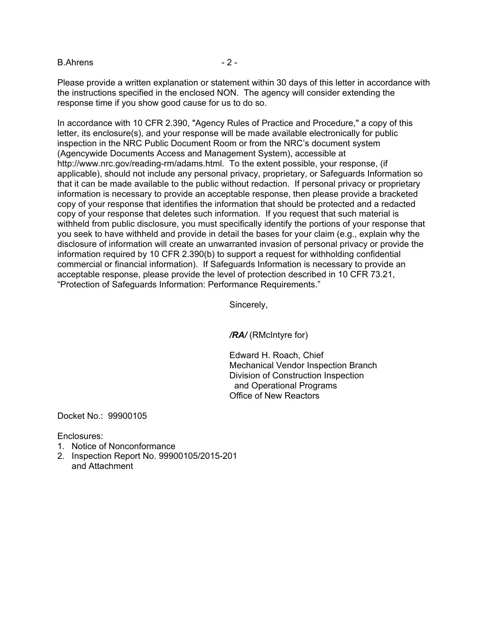B.Ahrens - 2 -

Please provide a written explanation or statement within 30 days of this letter in accordance with the instructions specified in the enclosed NON. The agency will consider extending the response time if you show good cause for us to do so.

In accordance with 10 CFR 2.390, "Agency Rules of Practice and Procedure," a copy of this letter, its enclosure(s), and your response will be made available electronically for public inspection in the NRC Public Document Room or from the NRC's document system (Agencywide Documents Access and Management System), accessible at http://www.nrc.gov/reading-rm/adams.html. To the extent possible, your response, (if applicable), should not include any personal privacy, proprietary, or Safeguards Information so that it can be made available to the public without redaction. If personal privacy or proprietary information is necessary to provide an acceptable response, then please provide a bracketed copy of your response that identifies the information that should be protected and a redacted copy of your response that deletes such information. If you request that such material is withheld from public disclosure, you must specifically identify the portions of your response that you seek to have withheld and provide in detail the bases for your claim (e.g., explain why the disclosure of information will create an unwarranted invasion of personal privacy or provide the information required by 10 CFR 2.390(b) to support a request for withholding confidential commercial or financial information). If Safeguards Information is necessary to provide an acceptable response, please provide the level of protection described in 10 CFR 73.21, "Protection of Safeguards Information: Performance Requirements."

Sincerely,

*/RA/* (RMcIntyre for)

Edward H. Roach, Chief Mechanical Vendor Inspection Branch Division of Construction Inspection and Operational Programs Office of New Reactors

Docket No.: 99900105

Enclosures:

- 1. Notice of Nonconformance
- 2. Inspection Report No. 99900105/2015-201 and Attachment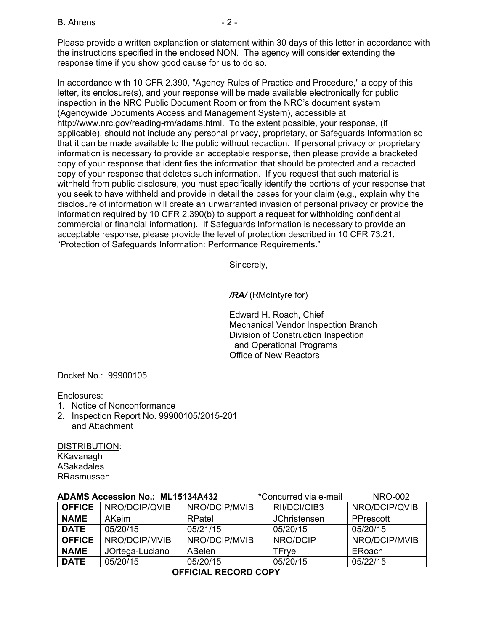#### $B.$  Ahrens  $-2$  -

Please provide a written explanation or statement within 30 days of this letter in accordance with the instructions specified in the enclosed NON. The agency will consider extending the response time if you show good cause for us to do so.

In accordance with 10 CFR 2.390, "Agency Rules of Practice and Procedure," a copy of this letter, its enclosure(s), and your response will be made available electronically for public inspection in the NRC Public Document Room or from the NRC's document system (Agencywide Documents Access and Management System), accessible at http://www.nrc.gov/reading-rm/adams.html. To the extent possible, your response, (if applicable), should not include any personal privacy, proprietary, or Safeguards Information so that it can be made available to the public without redaction. If personal privacy or proprietary information is necessary to provide an acceptable response, then please provide a bracketed copy of your response that identifies the information that should be protected and a redacted copy of your response that deletes such information. If you request that such material is withheld from public disclosure, you must specifically identify the portions of your response that you seek to have withheld and provide in detail the bases for your claim (e.g., explain why the disclosure of information will create an unwarranted invasion of personal privacy or provide the information required by 10 CFR 2.390(b) to support a request for withholding confidential commercial or financial information). If Safeguards Information is necessary to provide an acceptable response, please provide the level of protection described in 10 CFR 73.21, "Protection of Safeguards Information: Performance Requirements."

Sincerely,

*/RA/* (RMcIntyre for)

Edward H. Roach, Chief Mechanical Vendor Inspection Branch Division of Construction Inspection and Operational Programs Office of New Reactors

Docket No.: 99900105

Enclosures:

- 1. Notice of Nonconformance
- 2. Inspection Report No. 99900105/2015-201 and Attachment

DISTRIBUTION: KKavanagh ASakadales RRasmussen

| <b>ADAMS Accession No.: ML15134A432</b> |                 |               | *Concurred via e-mail | <b>NRO-002</b> |  |  |
|-----------------------------------------|-----------------|---------------|-----------------------|----------------|--|--|
| <b>OFFICE</b>                           | NRO/DCIP/QVIB   | NRO/DCIP/MVIB | RII/DCI/CIB3          | NRO/DCIP/QVIB  |  |  |
| <b>NAME</b>                             | AKeim           | RPatel        | <b>JChristensen</b>   | PPrescott      |  |  |
| <b>DATE</b>                             | 05/20/15        | 05/21/15      | 05/20/15              | 05/20/15       |  |  |
| <b>OFFICE</b>                           | NRO/DCIP/MVIB   | NRO/DCIP/MVIB | NRO/DCIP              | NRO/DCIP/MVIB  |  |  |
| <b>NAME</b>                             | JOrtega-Luciano | <b>ABelen</b> | <b>TFrve</b>          | ERoach         |  |  |
| <b>DATE</b>                             | 05/20/15        | 05/20/15      | 05/20/15              | 05/22/15       |  |  |
|                                         |                 |               |                       |                |  |  |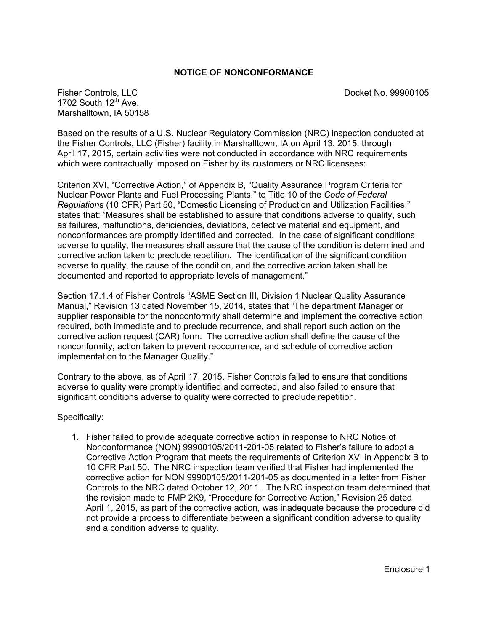#### **NOTICE OF NONCONFORMANCE**

Fisher Controls, LLC Docket No. 99900105 1702 South  $12<sup>th</sup>$  Ave. Marshalltown, IA 50158

Based on the results of a U.S. Nuclear Regulatory Commission (NRC) inspection conducted at the Fisher Controls, LLC (Fisher) facility in Marshalltown, IA on April 13, 2015, through April 17, 2015, certain activities were not conducted in accordance with NRC requirements which were contractually imposed on Fisher by its customers or NRC licensees:

Criterion XVI, "Corrective Action," of Appendix B, "Quality Assurance Program Criteria for Nuclear Power Plants and Fuel Processing Plants," to Title 10 of the *Code of Federal Regulation*s (10 CFR) Part 50, "Domestic Licensing of Production and Utilization Facilities," states that: "Measures shall be established to assure that conditions adverse to quality, such as failures, malfunctions, deficiencies, deviations, defective material and equipment, and nonconformances are promptly identified and corrected. In the case of significant conditions adverse to quality, the measures shall assure that the cause of the condition is determined and corrective action taken to preclude repetition. The identification of the significant condition adverse to quality, the cause of the condition, and the corrective action taken shall be documented and reported to appropriate levels of management."

Section 17.1.4 of Fisher Controls "ASME Section III, Division 1 Nuclear Quality Assurance Manual," Revision 13 dated November 15, 2014, states that "The department Manager or supplier responsible for the nonconformity shall determine and implement the corrective action required, both immediate and to preclude recurrence, and shall report such action on the corrective action request (CAR) form. The corrective action shall define the cause of the nonconformity, action taken to prevent reoccurrence, and schedule of corrective action implementation to the Manager Quality."

Contrary to the above, as of April 17, 2015, Fisher Controls failed to ensure that conditions adverse to quality were promptly identified and corrected, and also failed to ensure that significant conditions adverse to quality were corrected to preclude repetition.

Specifically:

1. Fisher failed to provide adequate corrective action in response to NRC Notice of Nonconformance (NON) 99900105/2011-201-05 related to Fisher's failure to adopt a Corrective Action Program that meets the requirements of Criterion XVI in Appendix B to 10 CFR Part 50. The NRC inspection team verified that Fisher had implemented the corrective action for NON 99900105/2011-201-05 as documented in a letter from Fisher Controls to the NRC dated October 12, 2011. The NRC inspection team determined that the revision made to FMP 2K9, "Procedure for Corrective Action," Revision 25 dated April 1, 2015, as part of the corrective action, was inadequate because the procedure did not provide a process to differentiate between a significant condition adverse to quality and a condition adverse to quality.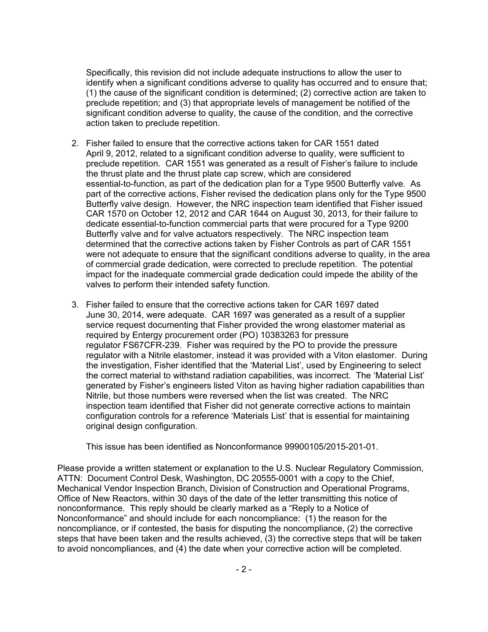Specifically, this revision did not include adequate instructions to allow the user to identify when a significant conditions adverse to quality has occurred and to ensure that; (1) the cause of the significant condition is determined; (2) corrective action are taken to preclude repetition; and (3) that appropriate levels of management be notified of the significant condition adverse to quality, the cause of the condition, and the corrective action taken to preclude repetition.

- 2. Fisher failed to ensure that the corrective actions taken for CAR 1551 dated April 9, 2012, related to a significant condition adverse to quality, were sufficient to preclude repetition. CAR 1551 was generated as a result of Fisher's failure to include the thrust plate and the thrust plate cap screw, which are considered essential-to-function, as part of the dedication plan for a Type 9500 Butterfly valve. As part of the corrective actions, Fisher revised the dedication plans only for the Type 9500 Butterfly valve design. However, the NRC inspection team identified that Fisher issued CAR 1570 on October 12, 2012 and CAR 1644 on August 30, 2013, for their failure to dedicate essential-to-function commercial parts that were procured for a Type 9200 Butterfly valve and for valve actuators respectively. The NRC inspection team determined that the corrective actions taken by Fisher Controls as part of CAR 1551 were not adequate to ensure that the significant conditions adverse to quality, in the area of commercial grade dedication, were corrected to preclude repetition. The potential impact for the inadequate commercial grade dedication could impede the ability of the valves to perform their intended safety function.
- 3. Fisher failed to ensure that the corrective actions taken for CAR 1697 dated June 30, 2014, were adequate. CAR 1697 was generated as a result of a supplier service request documenting that Fisher provided the wrong elastomer material as required by Entergy procurement order (PO) 10383263 for pressure regulator FS67CFR-239. Fisher was required by the PO to provide the pressure regulator with a Nitrile elastomer, instead it was provided with a Viton elastomer. During the investigation, Fisher identified that the 'Material List', used by Engineering to select the correct material to withstand radiation capabilities, was incorrect. The 'Material List' generated by Fisher's engineers listed Viton as having higher radiation capabilities than Nitrile, but those numbers were reversed when the list was created. The NRC inspection team identified that Fisher did not generate corrective actions to maintain configuration controls for a reference 'Materials List' that is essential for maintaining original design configuration.

This issue has been identified as Nonconformance 99900105/2015-201-01.

Please provide a written statement or explanation to the U.S. Nuclear Regulatory Commission, ATTN: Document Control Desk, Washington, DC 20555-0001 with a copy to the Chief, Mechanical Vendor Inspection Branch, Division of Construction and Operational Programs, Office of New Reactors, within 30 days of the date of the letter transmitting this notice of nonconformance. This reply should be clearly marked as a "Reply to a Notice of Nonconformance" and should include for each noncompliance: (1) the reason for the noncompliance, or if contested, the basis for disputing the noncompliance, (2) the corrective steps that have been taken and the results achieved, (3) the corrective steps that will be taken to avoid noncompliances, and (4) the date when your corrective action will be completed.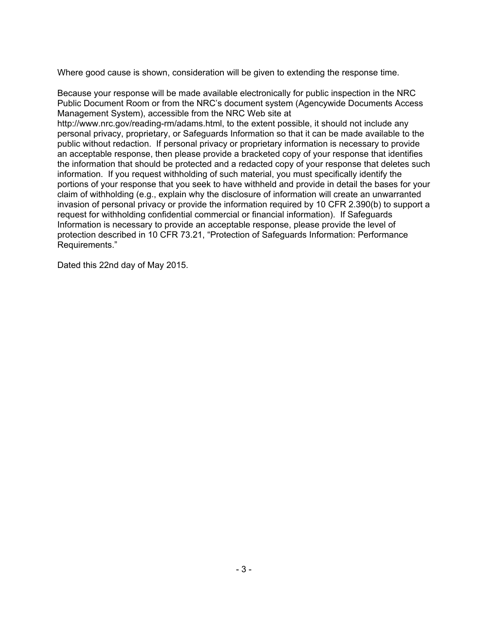Where good cause is shown, consideration will be given to extending the response time.

Because your response will be made available electronically for public inspection in the NRC Public Document Room or from the NRC's document system (Agencywide Documents Access Management System), accessible from the NRC Web site at

http://www.nrc.gov/reading-rm/adams.html, to the extent possible, it should not include any personal privacy, proprietary, or Safeguards Information so that it can be made available to the public without redaction. If personal privacy or proprietary information is necessary to provide an acceptable response, then please provide a bracketed copy of your response that identifies the information that should be protected and a redacted copy of your response that deletes such information. If you request withholding of such material, you must specifically identify the portions of your response that you seek to have withheld and provide in detail the bases for your claim of withholding (e.g., explain why the disclosure of information will create an unwarranted invasion of personal privacy or provide the information required by 10 CFR 2.390(b) to support a request for withholding confidential commercial or financial information). If Safeguards Information is necessary to provide an acceptable response, please provide the level of protection described in 10 CFR 73.21, "Protection of Safeguards Information: Performance Requirements."

Dated this 22nd day of May 2015.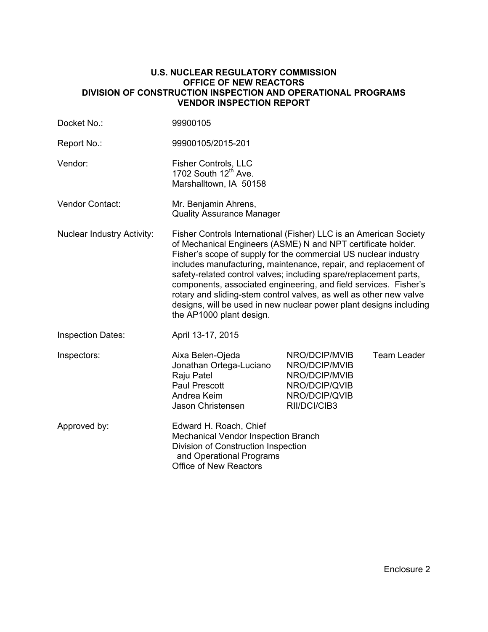#### **U.S. NUCLEAR REGULATORY COMMISSION OFFICE OF NEW REACTORS DIVISION OF CONSTRUCTION INSPECTION AND OPERATIONAL PROGRAMS VENDOR INSPECTION REPORT**

| Docket No.:                       | 99900105                                                                                                                                                                                                                                                                                                                                                                                                                                                                                                                                                                                 |                                                                                                   |                    |  |
|-----------------------------------|------------------------------------------------------------------------------------------------------------------------------------------------------------------------------------------------------------------------------------------------------------------------------------------------------------------------------------------------------------------------------------------------------------------------------------------------------------------------------------------------------------------------------------------------------------------------------------------|---------------------------------------------------------------------------------------------------|--------------------|--|
| Report No.:                       | 99900105/2015-201                                                                                                                                                                                                                                                                                                                                                                                                                                                                                                                                                                        |                                                                                                   |                    |  |
| Vendor:                           | Fisher Controls, LLC<br>1702 South 12 <sup>th</sup> Ave.<br>Marshalltown, IA 50158                                                                                                                                                                                                                                                                                                                                                                                                                                                                                                       |                                                                                                   |                    |  |
| <b>Vendor Contact:</b>            | Mr. Benjamin Ahrens,<br><b>Quality Assurance Manager</b>                                                                                                                                                                                                                                                                                                                                                                                                                                                                                                                                 |                                                                                                   |                    |  |
| <b>Nuclear Industry Activity:</b> | Fisher Controls International (Fisher) LLC is an American Society<br>of Mechanical Engineers (ASME) N and NPT certificate holder.<br>Fisher's scope of supply for the commercial US nuclear industry<br>includes manufacturing, maintenance, repair, and replacement of<br>safety-related control valves; including spare/replacement parts,<br>components, associated engineering, and field services. Fisher's<br>rotary and sliding-stem control valves, as well as other new valve<br>designs, will be used in new nuclear power plant designs including<br>the AP1000 plant design. |                                                                                                   |                    |  |
| <b>Inspection Dates:</b>          | April 13-17, 2015                                                                                                                                                                                                                                                                                                                                                                                                                                                                                                                                                                        |                                                                                                   |                    |  |
| Inspectors:                       | Aixa Belen-Ojeda<br>Jonathan Ortega-Luciano<br>Raju Patel<br><b>Paul Prescott</b><br>Andrea Keim<br>Jason Christensen                                                                                                                                                                                                                                                                                                                                                                                                                                                                    | NRO/DCIP/MVIB<br>NRO/DCIP/MVIB<br>NRO/DCIP/MVIB<br>NRO/DCIP/QVIB<br>NRO/DCIP/QVIB<br>RII/DCI/CIB3 | <b>Team Leader</b> |  |
| Approved by:                      | Edward H. Roach, Chief<br>Mechanical Vendor Inspection Branch<br>Division of Construction Inspection<br>and Operational Programs<br>Office of New Reactors                                                                                                                                                                                                                                                                                                                                                                                                                               |                                                                                                   |                    |  |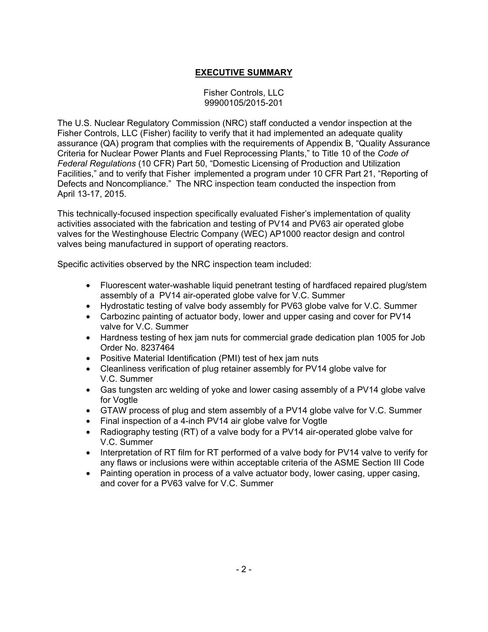# **EXECUTIVE SUMMARY**

Fisher Controls, LLC 99900105/2015-201

The U.S. Nuclear Regulatory Commission (NRC) staff conducted a vendor inspection at the Fisher Controls, LLC (Fisher) facility to verify that it had implemented an adequate quality assurance (QA) program that complies with the requirements of Appendix B, "Quality Assurance Criteria for Nuclear Power Plants and Fuel Reprocessing Plants," to Title 10 of the *Code of Federal Regulations* (10 CFR) Part 50, "Domestic Licensing of Production and Utilization Facilities," and to verify that Fisher implemented a program under 10 CFR Part 21, "Reporting of Defects and Noncompliance." The NRC inspection team conducted the inspection from April 13-17, 2015.

This technically-focused inspection specifically evaluated Fisher's implementation of quality activities associated with the fabrication and testing of PV14 and PV63 air operated globe valves for the Westinghouse Electric Company (WEC) AP1000 reactor design and control valves being manufactured in support of operating reactors.

Specific activities observed by the NRC inspection team included:

- Fluorescent water-washable liquid penetrant testing of hardfaced repaired plug/stem assembly of a PV14 air-operated globe valve for V.C. Summer
- Hydrostatic testing of valve body assembly for PV63 globe valve for V.C. Summer
- Carbozinc painting of actuator body, lower and upper casing and cover for PV14 valve for V.C. Summer
- Hardness testing of hex jam nuts for commercial grade dedication plan 1005 for Job Order No. 8237464
- Positive Material Identification (PMI) test of hex jam nuts
- Cleanliness verification of plug retainer assembly for PV14 globe valve for V.C. Summer
- Gas tungsten arc welding of yoke and lower casing assembly of a PV14 globe valve for Vogtle
- GTAW process of plug and stem assembly of a PV14 globe valve for V.C. Summer
- Final inspection of a 4-inch PV14 air globe valve for Vogtle
- Radiography testing (RT) of a valve body for a PV14 air-operated globe valve for V.C. Summer
- Interpretation of RT film for RT performed of a valve body for PV14 valve to verify for any flaws or inclusions were within acceptable criteria of the ASME Section III Code
- Painting operation in process of a valve actuator body, lower casing, upper casing, and cover for a PV63 valve for V.C. Summer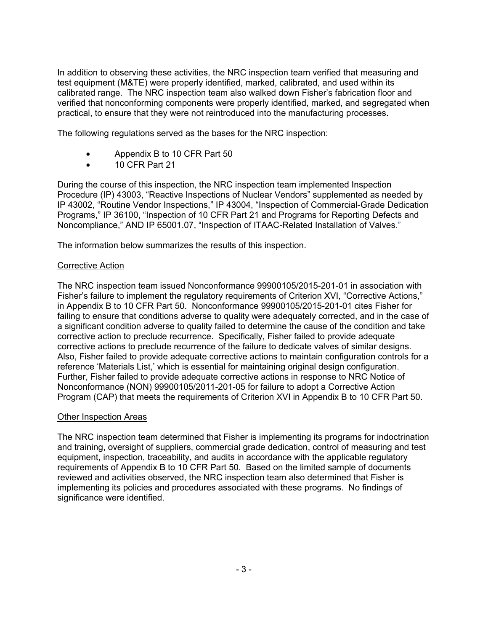In addition to observing these activities, the NRC inspection team verified that measuring and test equipment (M&TE) were properly identified, marked, calibrated, and used within its calibrated range. The NRC inspection team also walked down Fisher's fabrication floor and verified that nonconforming components were properly identified, marked, and segregated when practical, to ensure that they were not reintroduced into the manufacturing processes.

The following regulations served as the bases for the NRC inspection:

- Appendix B to 10 CFR Part 50
- 10 CFR Part 21

During the course of this inspection, the NRC inspection team implemented Inspection Procedure (IP) 43003, "Reactive Inspections of Nuclear Vendors" supplemented as needed by IP 43002, "Routine Vendor Inspections," IP 43004, "Inspection of Commercial-Grade Dedication Programs," IP 36100, "Inspection of 10 CFR Part 21 and Programs for Reporting Defects and Noncompliance," AND IP 65001.07, "Inspection of ITAAC-Related Installation of Valves."

The information below summarizes the results of this inspection.

### Corrective Action

The NRC inspection team issued Nonconformance 99900105/2015-201-01 in association with Fisher's failure to implement the regulatory requirements of Criterion XVI, "Corrective Actions," in Appendix B to 10 CFR Part 50. Nonconformance 99900105/2015-201-01 cites Fisher for failing to ensure that conditions adverse to quality were adequately corrected, and in the case of a significant condition adverse to quality failed to determine the cause of the condition and take corrective action to preclude recurrence. Specifically, Fisher failed to provide adequate corrective actions to preclude recurrence of the failure to dedicate valves of similar designs. Also, Fisher failed to provide adequate corrective actions to maintain configuration controls for a reference 'Materials List,' which is essential for maintaining original design configuration. Further, Fisher failed to provide adequate corrective actions in response to NRC Notice of Nonconformance (NON) 99900105/2011-201-05 for failure to adopt a Corrective Action Program (CAP) that meets the requirements of Criterion XVI in Appendix B to 10 CFR Part 50.

### **Other Inspection Areas**

The NRC inspection team determined that Fisher is implementing its programs for indoctrination and training, oversight of suppliers, commercial grade dedication, control of measuring and test equipment, inspection, traceability, and audits in accordance with the applicable regulatory requirements of Appendix B to 10 CFR Part 50. Based on the limited sample of documents reviewed and activities observed, the NRC inspection team also determined that Fisher is implementing its policies and procedures associated with these programs. No findings of significance were identified.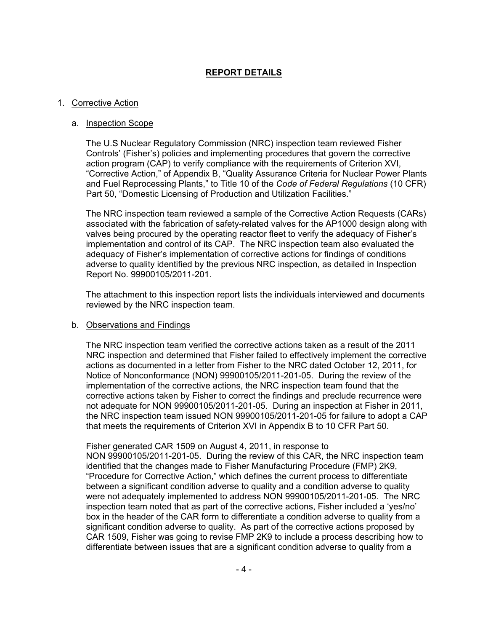## **REPORT DETAILS**

#### 1. Corrective Action

#### a. Inspection Scope

The U.S Nuclear Regulatory Commission (NRC) inspection team reviewed Fisher Controls' (Fisher's) policies and implementing procedures that govern the corrective action program (CAP) to verify compliance with the requirements of Criterion XVI, "Corrective Action," of Appendix B, "Quality Assurance Criteria for Nuclear Power Plants and Fuel Reprocessing Plants," to Title 10 of the *Code of Federal Regulations* (10 CFR) Part 50, "Domestic Licensing of Production and Utilization Facilities."

The NRC inspection team reviewed a sample of the Corrective Action Requests (CARs) associated with the fabrication of safety-related valves for the AP1000 design along with valves being procured by the operating reactor fleet to verify the adequacy of Fisher's implementation and control of its CAP. The NRC inspection team also evaluated the adequacy of Fisher's implementation of corrective actions for findings of conditions adverse to quality identified by the previous NRC inspection, as detailed in Inspection Report No. 99900105/2011-201.

The attachment to this inspection report lists the individuals interviewed and documents reviewed by the NRC inspection team.

#### b. Observations and Findings

The NRC inspection team verified the corrective actions taken as a result of the 2011 NRC inspection and determined that Fisher failed to effectively implement the corrective actions as documented in a letter from Fisher to the NRC dated October 12, 2011, for Notice of Nonconformance (NON) 99900105/2011-201-05. During the review of the implementation of the corrective actions, the NRC inspection team found that the corrective actions taken by Fisher to correct the findings and preclude recurrence were not adequate for NON 99900105/2011-201-05. During an inspection at Fisher in 2011, the NRC inspection team issued NON 99900105/2011-201-05 for failure to adopt a CAP that meets the requirements of Criterion XVI in Appendix B to 10 CFR Part 50.

Fisher generated CAR 1509 on August 4, 2011, in response to NON 99900105/2011-201-05. During the review of this CAR, the NRC inspection team identified that the changes made to Fisher Manufacturing Procedure (FMP) 2K9, "Procedure for Corrective Action," which defines the current process to differentiate between a significant condition adverse to quality and a condition adverse to quality were not adequately implemented to address NON 99900105/2011-201-05. The NRC inspection team noted that as part of the corrective actions, Fisher included a 'yes/no' box in the header of the CAR form to differentiate a condition adverse to quality from a significant condition adverse to quality. As part of the corrective actions proposed by CAR 1509, Fisher was going to revise FMP 2K9 to include a process describing how to differentiate between issues that are a significant condition adverse to quality from a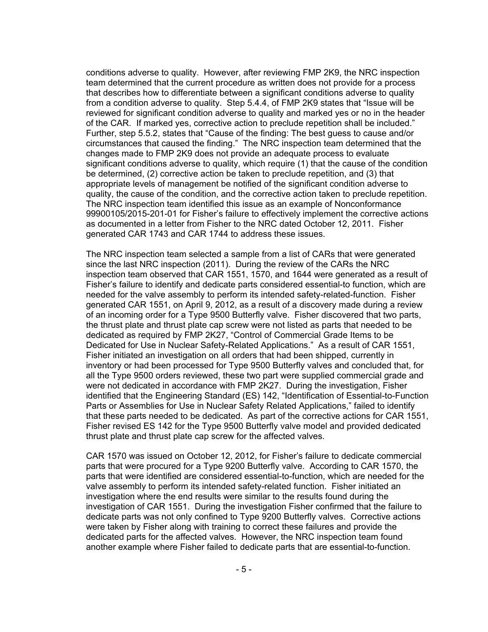conditions adverse to quality. However, after reviewing FMP 2K9, the NRC inspection team determined that the current procedure as written does not provide for a process that describes how to differentiate between a significant conditions adverse to quality from a condition adverse to quality. Step 5.4.4, of FMP 2K9 states that "Issue will be reviewed for significant condition adverse to quality and marked yes or no in the header of the CAR. If marked yes, corrective action to preclude repetition shall be included." Further, step 5.5.2, states that "Cause of the finding: The best guess to cause and/or circumstances that caused the finding." The NRC inspection team determined that the changes made to FMP 2K9 does not provide an adequate process to evaluate significant conditions adverse to quality, which require (1) that the cause of the condition be determined, (2) corrective action be taken to preclude repetition, and (3) that appropriate levels of management be notified of the significant condition adverse to quality, the cause of the condition, and the corrective action taken to preclude repetition. The NRC inspection team identified this issue as an example of Nonconformance 99900105/2015-201-01 for Fisher's failure to effectively implement the corrective actions as documented in a letter from Fisher to the NRC dated October 12, 2011. Fisher generated CAR 1743 and CAR 1744 to address these issues.

The NRC inspection team selected a sample from a list of CARs that were generated since the last NRC inspection (2011). During the review of the CARs the NRC inspection team observed that CAR 1551, 1570, and 1644 were generated as a result of Fisher's failure to identify and dedicate parts considered essential-to function, which are needed for the valve assembly to perform its intended safety-related-function. Fisher generated CAR 1551, on April 9, 2012, as a result of a discovery made during a review of an incoming order for a Type 9500 Butterfly valve. Fisher discovered that two parts, the thrust plate and thrust plate cap screw were not listed as parts that needed to be dedicated as required by FMP 2K27, "Control of Commercial Grade Items to be Dedicated for Use in Nuclear Safety-Related Applications." As a result of CAR 1551, Fisher initiated an investigation on all orders that had been shipped, currently in inventory or had been processed for Type 9500 Butterfly valves and concluded that, for all the Type 9500 orders reviewed, these two part were supplied commercial grade and were not dedicated in accordance with FMP 2K27. During the investigation, Fisher identified that the Engineering Standard (ES) 142, "Identification of Essential-to-Function Parts or Assemblies for Use in Nuclear Safety Related Applications," failed to identify that these parts needed to be dedicated. As part of the corrective actions for CAR 1551, Fisher revised ES 142 for the Type 9500 Butterfly valve model and provided dedicated thrust plate and thrust plate cap screw for the affected valves.

CAR 1570 was issued on October 12, 2012, for Fisher's failure to dedicate commercial parts that were procured for a Type 9200 Butterfly valve. According to CAR 1570, the parts that were identified are considered essential-to-function, which are needed for the valve assembly to perform its intended safety-related function. Fisher initiated an investigation where the end results were similar to the results found during the investigation of CAR 1551. During the investigation Fisher confirmed that the failure to dedicate parts was not only confined to Type 9200 Butterfly valves. Corrective actions were taken by Fisher along with training to correct these failures and provide the dedicated parts for the affected valves. However, the NRC inspection team found another example where Fisher failed to dedicate parts that are essential-to-function.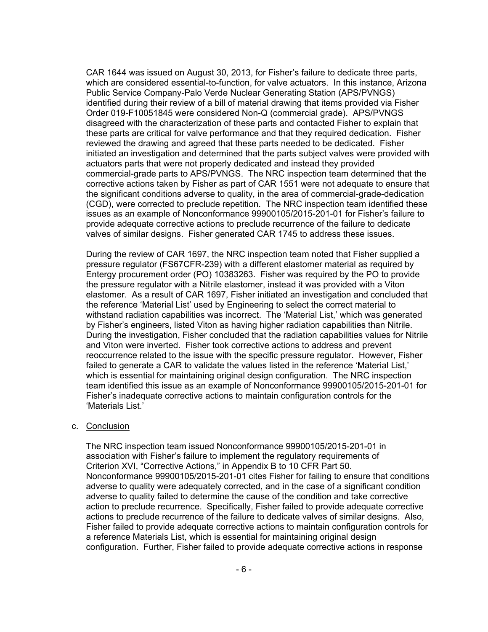CAR 1644 was issued on August 30, 2013, for Fisher's failure to dedicate three parts, which are considered essential-to-function, for valve actuators. In this instance, Arizona Public Service Company-Palo Verde Nuclear Generating Station (APS/PVNGS) identified during their review of a bill of material drawing that items provided via Fisher Order 019-F10051845 were considered Non-Q (commercial grade). APS/PVNGS disagreed with the characterization of these parts and contacted Fisher to explain that these parts are critical for valve performance and that they required dedication. Fisher reviewed the drawing and agreed that these parts needed to be dedicated. Fisher initiated an investigation and determined that the parts subject valves were provided with actuators parts that were not properly dedicated and instead they provided commercial-grade parts to APS/PVNGS. The NRC inspection team determined that the corrective actions taken by Fisher as part of CAR 1551 were not adequate to ensure that the significant conditions adverse to quality, in the area of commercial-grade-dedication (CGD), were corrected to preclude repetition. The NRC inspection team identified these issues as an example of Nonconformance 99900105/2015-201-01 for Fisher's failure to provide adequate corrective actions to preclude recurrence of the failure to dedicate valves of similar designs. Fisher generated CAR 1745 to address these issues.

During the review of CAR 1697, the NRC inspection team noted that Fisher supplied a pressure regulator (FS67CFR-239) with a different elastomer material as required by Entergy procurement order (PO) 10383263. Fisher was required by the PO to provide the pressure regulator with a Nitrile elastomer, instead it was provided with a Viton elastomer. As a result of CAR 1697, Fisher initiated an investigation and concluded that the reference 'Material List' used by Engineering to select the correct material to withstand radiation capabilities was incorrect. The 'Material List,' which was generated by Fisher's engineers, listed Viton as having higher radiation capabilities than Nitrile. During the investigation, Fisher concluded that the radiation capabilities values for Nitrile and Viton were inverted. Fisher took corrective actions to address and prevent reoccurrence related to the issue with the specific pressure regulator. However, Fisher failed to generate a CAR to validate the values listed in the reference 'Material List,' which is essential for maintaining original design configuration. The NRC inspection team identified this issue as an example of Nonconformance 99900105/2015-201-01 for Fisher's inadequate corrective actions to maintain configuration controls for the 'Materials List.'

#### c. Conclusion

The NRC inspection team issued Nonconformance 99900105/2015-201-01 in association with Fisher's failure to implement the regulatory requirements of Criterion XVI, "Corrective Actions," in Appendix B to 10 CFR Part 50. Nonconformance 99900105/2015-201-01 cites Fisher for failing to ensure that conditions adverse to quality were adequately corrected, and in the case of a significant condition adverse to quality failed to determine the cause of the condition and take corrective action to preclude recurrence. Specifically, Fisher failed to provide adequate corrective actions to preclude recurrence of the failure to dedicate valves of similar designs. Also, Fisher failed to provide adequate corrective actions to maintain configuration controls for a reference Materials List, which is essential for maintaining original design configuration. Further, Fisher failed to provide adequate corrective actions in response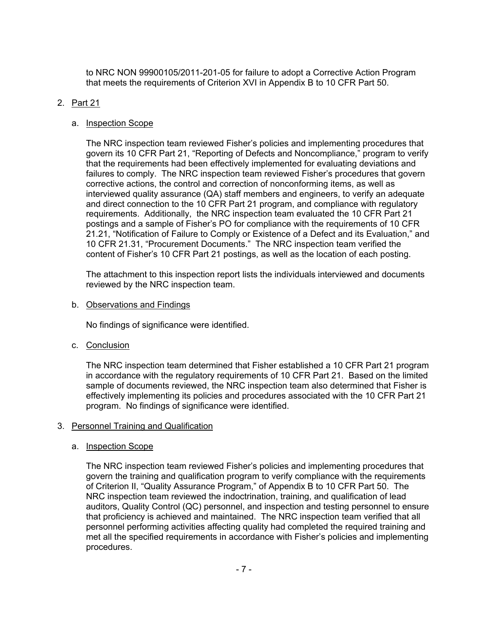to NRC NON 99900105/2011-201-05 for failure to adopt a Corrective Action Program that meets the requirements of Criterion XVI in Appendix B to 10 CFR Part 50.

## 2. Part 21

## a. Inspection Scope

The NRC inspection team reviewed Fisher's policies and implementing procedures that govern its 10 CFR Part 21, "Reporting of Defects and Noncompliance," program to verify that the requirements had been effectively implemented for evaluating deviations and failures to comply. The NRC inspection team reviewed Fisher's procedures that govern corrective actions, the control and correction of nonconforming items, as well as interviewed quality assurance (QA) staff members and engineers, to verify an adequate and direct connection to the 10 CFR Part 21 program, and compliance with regulatory requirements. Additionally, the NRC inspection team evaluated the 10 CFR Part 21 postings and a sample of Fisher's PO for compliance with the requirements of 10 CFR 21.21, "Notification of Failure to Comply or Existence of a Defect and its Evaluation," and 10 CFR 21.31, "Procurement Documents." The NRC inspection team verified the content of Fisher's 10 CFR Part 21 postings, as well as the location of each posting.

The attachment to this inspection report lists the individuals interviewed and documents reviewed by the NRC inspection team.

### b. Observations and Findings

No findings of significance were identified.

c. Conclusion

The NRC inspection team determined that Fisher established a 10 CFR Part 21 program in accordance with the regulatory requirements of 10 CFR Part 21. Based on the limited sample of documents reviewed, the NRC inspection team also determined that Fisher is effectively implementing its policies and procedures associated with the 10 CFR Part 21 program. No findings of significance were identified.

## 3. Personnel Training and Qualification

## a. Inspection Scope

The NRC inspection team reviewed Fisher's policies and implementing procedures that govern the training and qualification program to verify compliance with the requirements of Criterion II, "Quality Assurance Program," of Appendix B to 10 CFR Part 50. The NRC inspection team reviewed the indoctrination, training, and qualification of lead auditors, Quality Control (QC) personnel, and inspection and testing personnel to ensure that proficiency is achieved and maintained. The NRC inspection team verified that all personnel performing activities affecting quality had completed the required training and met all the specified requirements in accordance with Fisher's policies and implementing procedures.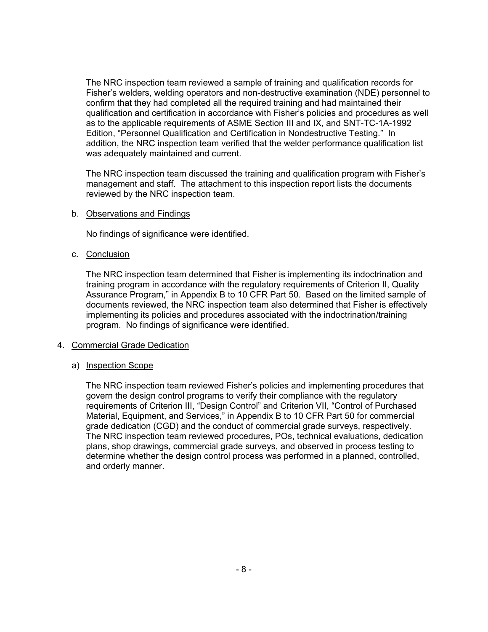The NRC inspection team reviewed a sample of training and qualification records for Fisher's welders, welding operators and non-destructive examination (NDE) personnel to confirm that they had completed all the required training and had maintained their qualification and certification in accordance with Fisher's policies and procedures as well as to the applicable requirements of ASME Section III and IX, and SNT-TC-1A-1992 Edition, "Personnel Qualification and Certification in Nondestructive Testing." In addition, the NRC inspection team verified that the welder performance qualification list was adequately maintained and current.

The NRC inspection team discussed the training and qualification program with Fisher's management and staff. The attachment to this inspection report lists the documents reviewed by the NRC inspection team.

#### b. Observations and Findings

No findings of significance were identified.

c. Conclusion

The NRC inspection team determined that Fisher is implementing its indoctrination and training program in accordance with the regulatory requirements of Criterion II, Quality Assurance Program," in Appendix B to 10 CFR Part 50. Based on the limited sample of documents reviewed, the NRC inspection team also determined that Fisher is effectively implementing its policies and procedures associated with the indoctrination/training program. No findings of significance were identified.

#### 4. Commercial Grade Dedication

#### a) Inspection Scope

The NRC inspection team reviewed Fisher's policies and implementing procedures that govern the design control programs to verify their compliance with the regulatory requirements of Criterion III, "Design Control" and Criterion VII, "Control of Purchased Material, Equipment, and Services," in Appendix B to 10 CFR Part 50 for commercial grade dedication (CGD) and the conduct of commercial grade surveys, respectively. The NRC inspection team reviewed procedures, POs, technical evaluations, dedication plans, shop drawings, commercial grade surveys, and observed in process testing to determine whether the design control process was performed in a planned, controlled, and orderly manner.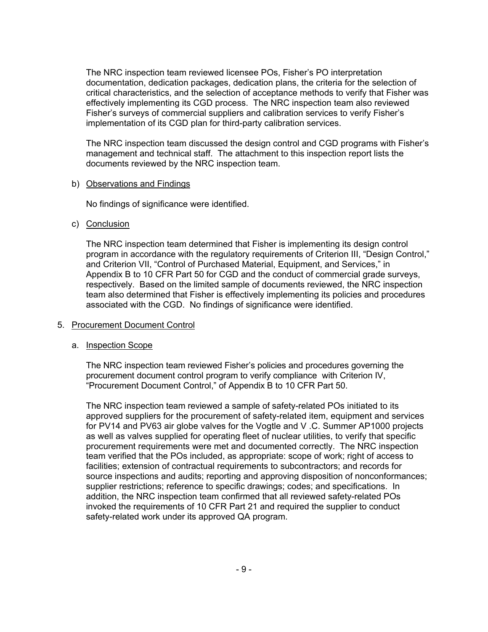The NRC inspection team reviewed licensee POs, Fisher's PO interpretation documentation, dedication packages, dedication plans, the criteria for the selection of critical characteristics, and the selection of acceptance methods to verify that Fisher was effectively implementing its CGD process. The NRC inspection team also reviewed Fisher's surveys of commercial suppliers and calibration services to verify Fisher's implementation of its CGD plan for third-party calibration services.

The NRC inspection team discussed the design control and CGD programs with Fisher's management and technical staff. The attachment to this inspection report lists the documents reviewed by the NRC inspection team.

#### b) Observations and Findings

No findings of significance were identified.

### c) Conclusion

The NRC inspection team determined that Fisher is implementing its design control program in accordance with the regulatory requirements of Criterion III, "Design Control," and Criterion VII, "Control of Purchased Material, Equipment, and Services," in Appendix B to 10 CFR Part 50 for CGD and the conduct of commercial grade surveys, respectively. Based on the limited sample of documents reviewed, the NRC inspection team also determined that Fisher is effectively implementing its policies and procedures associated with the CGD. No findings of significance were identified.

### 5. Procurement Document Control

### a. Inspection Scope

The NRC inspection team reviewed Fisher's policies and procedures governing the procurement document control program to verify compliance with Criterion IV, "Procurement Document Control," of Appendix B to 10 CFR Part 50.

The NRC inspection team reviewed a sample of safety-related POs initiated to its approved suppliers for the procurement of safety-related item, equipment and services for PV14 and PV63 air globe valves for the Vogtle and V .C. Summer AP1000 projects as well as valves supplied for operating fleet of nuclear utilities, to verify that specific procurement requirements were met and documented correctly. The NRC inspection team verified that the POs included, as appropriate: scope of work; right of access to facilities; extension of contractual requirements to subcontractors; and records for source inspections and audits; reporting and approving disposition of nonconformances; supplier restrictions; reference to specific drawings; codes; and specifications. In addition, the NRC inspection team confirmed that all reviewed safety-related POs invoked the requirements of 10 CFR Part 21 and required the supplier to conduct safety-related work under its approved QA program.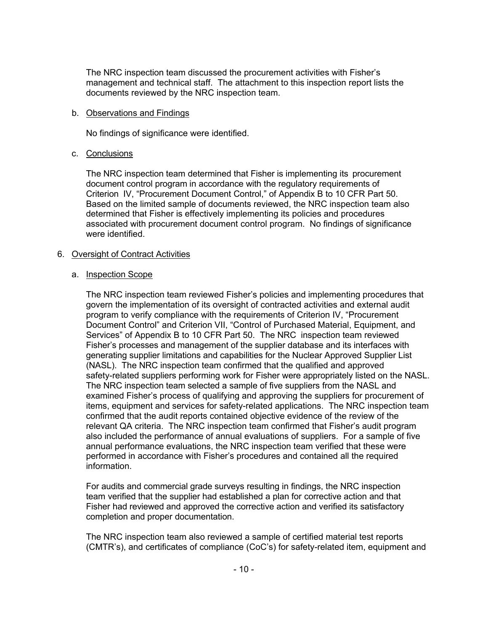The NRC inspection team discussed the procurement activities with Fisher's management and technical staff. The attachment to this inspection report lists the documents reviewed by the NRC inspection team.

#### b. Observations and Findings

No findings of significance were identified.

#### c. Conclusions

The NRC inspection team determined that Fisher is implementing its procurement document control program in accordance with the regulatory requirements of Criterion IV, "Procurement Document Control," of Appendix B to 10 CFR Part 50. Based on the limited sample of documents reviewed, the NRC inspection team also determined that Fisher is effectively implementing its policies and procedures associated with procurement document control program. No findings of significance were identified.

### 6. Oversight of Contract Activities

#### a. Inspection Scope

The NRC inspection team reviewed Fisher's policies and implementing procedures that govern the implementation of its oversight of contracted activities and external audit program to verify compliance with the requirements of Criterion IV, "Procurement Document Control" and Criterion VII, "Control of Purchased Material, Equipment, and Services" of Appendix B to 10 CFR Part 50. The NRC inspection team reviewed Fisher's processes and management of the supplier database and its interfaces with generating supplier limitations and capabilities for the Nuclear Approved Supplier List (NASL). The NRC inspection team confirmed that the qualified and approved safety-related suppliers performing work for Fisher were appropriately listed on the NASL. The NRC inspection team selected a sample of five suppliers from the NASL and examined Fisher's process of qualifying and approving the suppliers for procurement of items, equipment and services for safety-related applications. The NRC inspection team confirmed that the audit reports contained objective evidence of the review of the relevant QA criteria. The NRC inspection team confirmed that Fisher's audit program also included the performance of annual evaluations of suppliers. For a sample of five annual performance evaluations, the NRC inspection team verified that these were performed in accordance with Fisher's procedures and contained all the required information.

For audits and commercial grade surveys resulting in findings, the NRC inspection team verified that the supplier had established a plan for corrective action and that Fisher had reviewed and approved the corrective action and verified its satisfactory completion and proper documentation.

The NRC inspection team also reviewed a sample of certified material test reports (CMTR's), and certificates of compliance (CoC's) for safety-related item, equipment and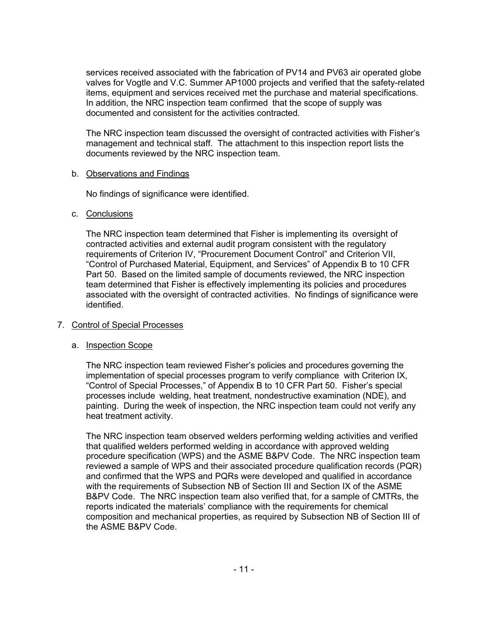services received associated with the fabrication of PV14 and PV63 air operated globe valves for Vogtle and V.C. Summer AP1000 projects and verified that the safety-related items, equipment and services received met the purchase and material specifications. In addition, the NRC inspection team confirmed that the scope of supply was documented and consistent for the activities contracted.

The NRC inspection team discussed the oversight of contracted activities with Fisher's management and technical staff. The attachment to this inspection report lists the documents reviewed by the NRC inspection team.

### b. Observations and Findings

No findings of significance were identified.

### c. Conclusions

The NRC inspection team determined that Fisher is implementing its oversight of contracted activities and external audit program consistent with the regulatory requirements of Criterion IV, "Procurement Document Control" and Criterion VII, "Control of Purchased Material, Equipment, and Services" of Appendix B to 10 CFR Part 50. Based on the limited sample of documents reviewed, the NRC inspection team determined that Fisher is effectively implementing its policies and procedures associated with the oversight of contracted activities. No findings of significance were identified.

### 7. Control of Special Processes

### a. Inspection Scope

The NRC inspection team reviewed Fisher's policies and procedures governing the implementation of special processes program to verify compliance with Criterion IX, "Control of Special Processes," of Appendix B to 10 CFR Part 50. Fisher's special processes include welding, heat treatment, nondestructive examination (NDE), and painting. During the week of inspection, the NRC inspection team could not verify any heat treatment activity.

The NRC inspection team observed welders performing welding activities and verified that qualified welders performed welding in accordance with approved welding procedure specification (WPS) and the ASME B&PV Code. The NRC inspection team reviewed a sample of WPS and their associated procedure qualification records (PQR) and confirmed that the WPS and PQRs were developed and qualified in accordance with the requirements of Subsection NB of Section III and Section IX of the ASME B&PV Code. The NRC inspection team also verified that, for a sample of CMTRs, the reports indicated the materials' compliance with the requirements for chemical composition and mechanical properties, as required by Subsection NB of Section III of the ASME B&PV Code.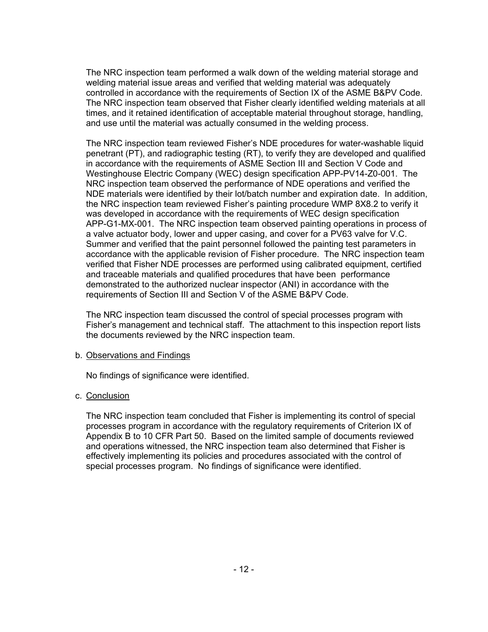The NRC inspection team performed a walk down of the welding material storage and welding material issue areas and verified that welding material was adequately controlled in accordance with the requirements of Section IX of the ASME B&PV Code. The NRC inspection team observed that Fisher clearly identified welding materials at all times, and it retained identification of acceptable material throughout storage, handling, and use until the material was actually consumed in the welding process.

The NRC inspection team reviewed Fisher's NDE procedures for water-washable liquid penetrant (PT), and radiographic testing (RT), to verify they are developed and qualified in accordance with the requirements of ASME Section III and Section V Code and Westinghouse Electric Company (WEC) design specification APP-PV14-Z0-001. The NRC inspection team observed the performance of NDE operations and verified the NDE materials were identified by their lot/batch number and expiration date. In addition, the NRC inspection team reviewed Fisher's painting procedure WMP 8X8.2 to verify it was developed in accordance with the requirements of WEC design specification APP-G1-MX-001. The NRC inspection team observed painting operations in process of a valve actuator body, lower and upper casing, and cover for a PV63 valve for V.C. Summer and verified that the paint personnel followed the painting test parameters in accordance with the applicable revision of Fisher procedure. The NRC inspection team verified that Fisher NDE processes are performed using calibrated equipment, certified and traceable materials and qualified procedures that have been performance demonstrated to the authorized nuclear inspector (ANI) in accordance with the requirements of Section III and Section V of the ASME B&PV Code.

The NRC inspection team discussed the control of special processes program with Fisher's management and technical staff. The attachment to this inspection report lists the documents reviewed by the NRC inspection team.

### b. Observations and Findings

No findings of significance were identified.

## c. Conclusion

The NRC inspection team concluded that Fisher is implementing its control of special processes program in accordance with the regulatory requirements of Criterion IX of Appendix B to 10 CFR Part 50. Based on the limited sample of documents reviewed and operations witnessed, the NRC inspection team also determined that Fisher is effectively implementing its policies and procedures associated with the control of special processes program. No findings of significance were identified.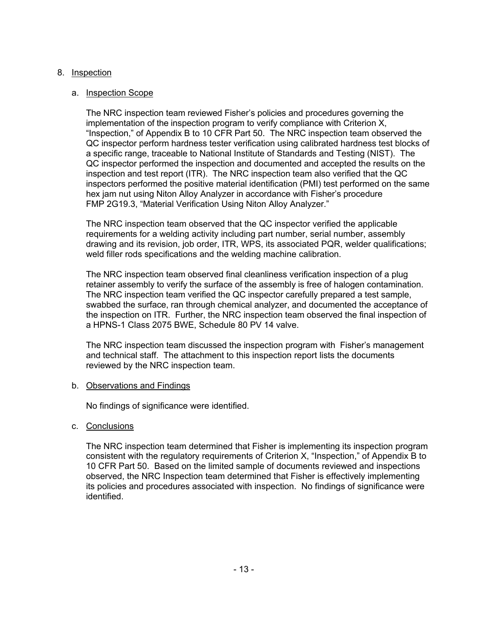### 8. Inspection

### a. Inspection Scope

The NRC inspection team reviewed Fisher's policies and procedures governing the implementation of the inspection program to verify compliance with Criterion X, "Inspection," of Appendix B to 10 CFR Part 50. The NRC inspection team observed the QC inspector perform hardness tester verification using calibrated hardness test blocks of a specific range, traceable to National Institute of Standards and Testing (NIST). The QC inspector performed the inspection and documented and accepted the results on the inspection and test report (ITR). The NRC inspection team also verified that the QC inspectors performed the positive material identification (PMI) test performed on the same hex jam nut using Niton Alloy Analyzer in accordance with Fisher's procedure FMP 2G19.3, "Material Verification Using Niton Alloy Analyzer."

The NRC inspection team observed that the QC inspector verified the applicable requirements for a welding activity including part number, serial number, assembly drawing and its revision, job order, ITR, WPS, its associated PQR, welder qualifications; weld filler rods specifications and the welding machine calibration.

The NRC inspection team observed final cleanliness verification inspection of a plug retainer assembly to verify the surface of the assembly is free of halogen contamination. The NRC inspection team verified the QC inspector carefully prepared a test sample, swabbed the surface, ran through chemical analyzer, and documented the acceptance of the inspection on ITR. Further, the NRC inspection team observed the final inspection of a HPNS-1 Class 2075 BWE, Schedule 80 PV 14 valve.

The NRC inspection team discussed the inspection program with Fisher's management and technical staff. The attachment to this inspection report lists the documents reviewed by the NRC inspection team.

### b. Observations and Findings

No findings of significance were identified.

c. Conclusions

The NRC inspection team determined that Fisher is implementing its inspection program consistent with the regulatory requirements of Criterion X, "Inspection," of Appendix B to 10 CFR Part 50. Based on the limited sample of documents reviewed and inspections observed, the NRC Inspection team determined that Fisher is effectively implementing its policies and procedures associated with inspection. No findings of significance were identified.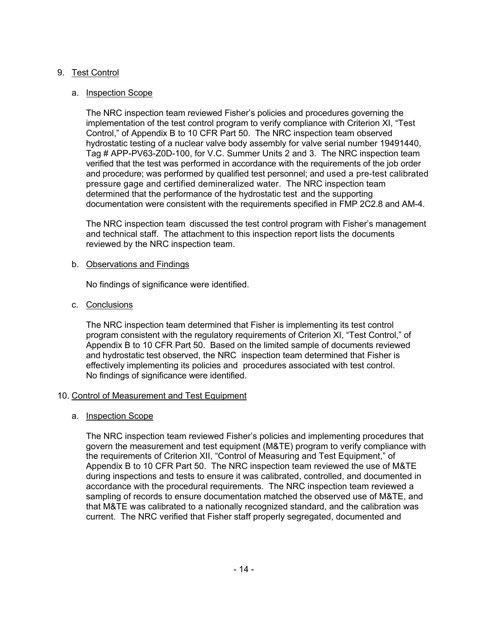### 9. Test Control

#### a. Inspection Scope

The NRC inspection team reviewed Fisher's policies and procedures governing the implementation of the test control program to verify compliance with Criterion XI, "Test Control," of Appendix B to 10 CFR Part 50. The NRC inspection team observed hydrostatic testing of a nuclear valve body assembly for valve serial number 19491440, Tag # APP-PV63-Z0D-100, for V.C. Summer Units 2 and 3. The NRC inspection team verified that the test was performed in accordance with the requirements of the job order and procedure; was performed by qualified test personnel; and used a pre-test calibrated pressure gage and certified demineralized water. The NRC inspection team determined that the performance of the hydrostatic test and the supporting documentation were consistent with the requirements specified in FMP 2C2.8 and AM-4.

The NRC inspection team discussed the test control program with Fisher's management and technical staff. The attachment to this inspection report lists the documents reviewed by the NRC inspection team.

#### b. Observations and Findings

No findings of significance were identified.

c. Conclusions

The NRC inspection team determined that Fisher is implementing its test control program consistent with the regulatory requirements of Criterion XI, "Test Control," of Appendix B to 10 CFR Part 50. Based on the limited sample of documents reviewed and hydrostatic test observed, the NRC inspection team determined that Fisher is effectively implementing its policies and procedures associated with test control. No findings of significance were identified.

### 10. Control of Measurement and Test Equipment

### a. Inspection Scope

The NRC inspection team reviewed Fisher's policies and implementing procedures that govern the measurement and test equipment (M&TE) program to verify compliance with the requirements of Criterion XII, "Control of Measuring and Test Equipment," of Appendix B to 10 CFR Part 50. The NRC inspection team reviewed the use of M&TE during inspections and tests to ensure it was calibrated, controlled, and documented in accordance with the procedural requirements. The NRC inspection team reviewed a sampling of records to ensure documentation matched the observed use of M&TE, and that M&TE was calibrated to a nationally recognized standard, and the calibration was current. The NRC verified that Fisher staff properly segregated, documented and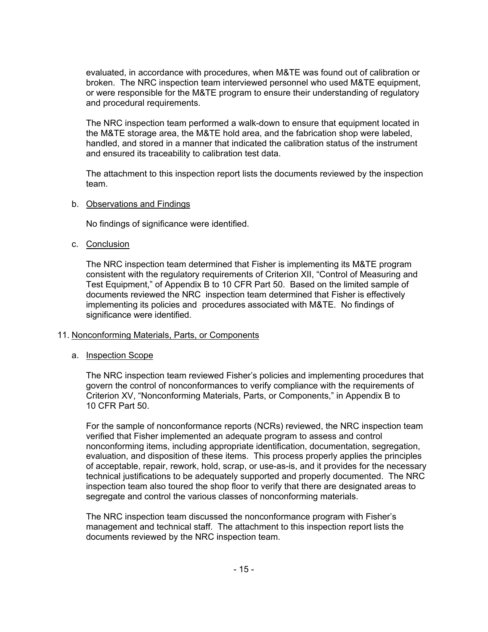evaluated, in accordance with procedures, when M&TE was found out of calibration or broken. The NRC inspection team interviewed personnel who used M&TE equipment, or were responsible for the M&TE program to ensure their understanding of regulatory and procedural requirements.

The NRC inspection team performed a walk-down to ensure that equipment located in the M&TE storage area, the M&TE hold area, and the fabrication shop were labeled, handled, and stored in a manner that indicated the calibration status of the instrument and ensured its traceability to calibration test data.

The attachment to this inspection report lists the documents reviewed by the inspection team.

#### b. Observations and Findings

No findings of significance were identified.

#### c. Conclusion

The NRC inspection team determined that Fisher is implementing its M&TE program consistent with the regulatory requirements of Criterion XII, "Control of Measuring and Test Equipment," of Appendix B to 10 CFR Part 50. Based on the limited sample of documents reviewed the NRC inspection team determined that Fisher is effectively implementing its policies and procedures associated with M&TE. No findings of significance were identified.

### 11. Nonconforming Materials, Parts, or Components

#### a. Inspection Scope

The NRC inspection team reviewed Fisher's policies and implementing procedures that govern the control of nonconformances to verify compliance with the requirements of Criterion XV, "Nonconforming Materials, Parts, or Components," in Appendix B to 10 CFR Part 50.

For the sample of nonconformance reports (NCRs) reviewed, the NRC inspection team verified that Fisher implemented an adequate program to assess and control nonconforming items, including appropriate identification, documentation, segregation, evaluation, and disposition of these items. This process properly applies the principles of acceptable, repair, rework, hold, scrap, or use-as-is, and it provides for the necessary technical justifications to be adequately supported and properly documented. The NRC inspection team also toured the shop floor to verify that there are designated areas to segregate and control the various classes of nonconforming materials.

The NRC inspection team discussed the nonconformance program with Fisher's management and technical staff. The attachment to this inspection report lists the documents reviewed by the NRC inspection team.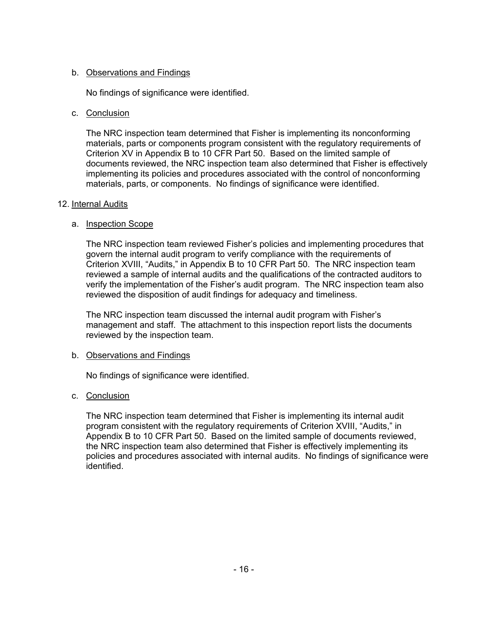### b. Observations and Findings

No findings of significance were identified.

### c. Conclusion

The NRC inspection team determined that Fisher is implementing its nonconforming materials, parts or components program consistent with the regulatory requirements of Criterion XV in Appendix B to 10 CFR Part 50. Based on the limited sample of documents reviewed, the NRC inspection team also determined that Fisher is effectively implementing its policies and procedures associated with the control of nonconforming materials, parts, or components. No findings of significance were identified.

### 12. Internal Audits

### a. Inspection Scope

The NRC inspection team reviewed Fisher's policies and implementing procedures that govern the internal audit program to verify compliance with the requirements of Criterion XVIII, "Audits," in Appendix B to 10 CFR Part 50. The NRC inspection team reviewed a sample of internal audits and the qualifications of the contracted auditors to verify the implementation of the Fisher's audit program. The NRC inspection team also reviewed the disposition of audit findings for adequacy and timeliness.

The NRC inspection team discussed the internal audit program with Fisher's management and staff. The attachment to this inspection report lists the documents reviewed by the inspection team.

## b. Observations and Findings

No findings of significance were identified.

## c. Conclusion

The NRC inspection team determined that Fisher is implementing its internal audit program consistent with the regulatory requirements of Criterion XVIII, "Audits," in Appendix B to 10 CFR Part 50. Based on the limited sample of documents reviewed, the NRC inspection team also determined that Fisher is effectively implementing its policies and procedures associated with internal audits. No findings of significance were identified.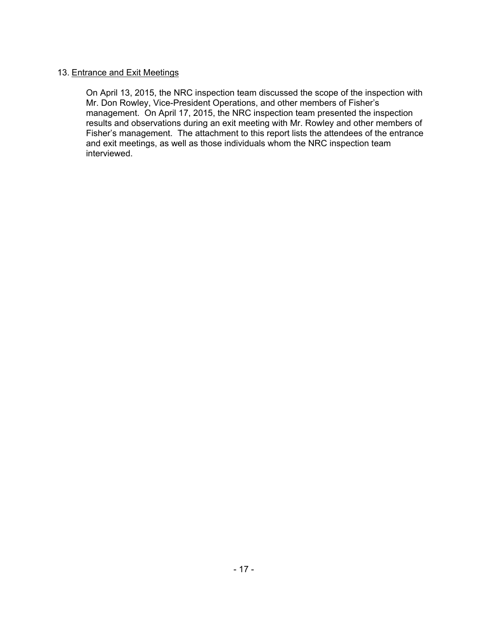### 13. Entrance and Exit Meetings

On April 13, 2015, the NRC inspection team discussed the scope of the inspection with Mr. Don Rowley, Vice-President Operations, and other members of Fisher's management. On April 17, 2015, the NRC inspection team presented the inspection results and observations during an exit meeting with Mr. Rowley and other members of Fisher's management. The attachment to this report lists the attendees of the entrance and exit meetings, as well as those individuals whom the NRC inspection team interviewed.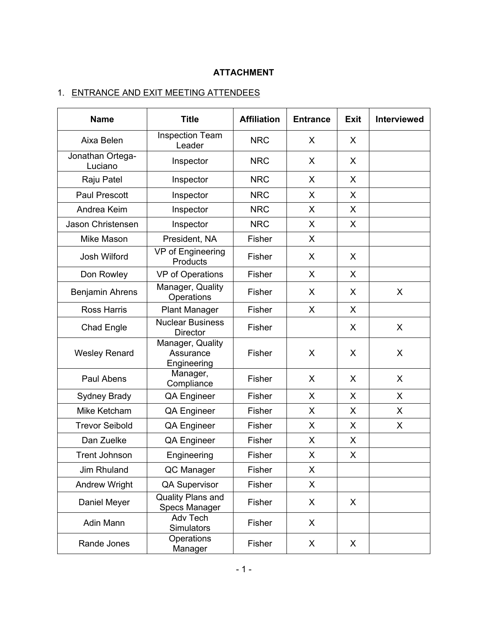# **ATTACHMENT**

# 1. ENTRANCE AND EXIT MEETING ATTENDEES

| <b>Name</b>                 | <b>Title</b>                                 | <b>Affiliation</b> | <b>Entrance</b> | <b>Exit</b>  | <b>Interviewed</b> |
|-----------------------------|----------------------------------------------|--------------------|-----------------|--------------|--------------------|
| Aixa Belen                  | <b>Inspection Team</b><br>Leader             | <b>NRC</b>         | X               | X            |                    |
| Jonathan Ortega-<br>Luciano | Inspector                                    | <b>NRC</b>         | X               | X            |                    |
| Raju Patel                  | Inspector                                    | <b>NRC</b>         | X               | X            |                    |
| <b>Paul Prescott</b>        | Inspector                                    | <b>NRC</b>         | X               | X            |                    |
| Andrea Keim                 | Inspector                                    | <b>NRC</b>         | X               | X            |                    |
| Jason Christensen           | Inspector                                    | <b>NRC</b>         | X               | X            |                    |
| Mike Mason                  | President, NA                                | Fisher             | X               |              |                    |
| Josh Wilford                | VP of Engineering<br>Products                | Fisher             | X               | X            |                    |
| Don Rowley                  | <b>VP</b> of Operations                      | Fisher             | X               | X            |                    |
| Benjamin Ahrens             | Manager, Quality<br>Operations               | Fisher             | X               | X            | X                  |
| <b>Ross Harris</b>          | <b>Plant Manager</b>                         | Fisher             | X               | X            |                    |
| <b>Chad Engle</b>           | <b>Nuclear Business</b><br><b>Director</b>   | Fisher             |                 | X            | X                  |
| <b>Wesley Renard</b>        | Manager, Quality<br>Assurance<br>Engineering | Fisher             | X               | X            | X                  |
| Paul Abens                  | Manager,<br>Compliance                       | Fisher             | X               | X            | X                  |
| Sydney Brady                | <b>QA Engineer</b>                           | Fisher             | X               | X            | X                  |
| Mike Ketcham                | <b>QA Engineer</b>                           | Fisher             | X               | X            | X                  |
| <b>Trevor Seibold</b>       | <b>QA Engineer</b>                           | Fisher             | X               | X            | X                  |
| Dan Zuelke                  | QA Engineer                                  | Fisher             | X               | X            |                    |
| <b>Trent Johnson</b>        | Engineering                                  | Fisher             | X               | $\mathsf{X}$ |                    |
| Jim Rhuland                 | QC Manager                                   | Fisher             | X               |              |                    |
| <b>Andrew Wright</b>        | QA Supervisor                                | Fisher             | X               |              |                    |
| Daniel Meyer                | Quality Plans and<br>Specs Manager           | Fisher             | X               | X            |                    |
| Adin Mann                   | Adv Tech<br><b>Simulators</b>                | Fisher             | X               |              |                    |
| Rande Jones                 | Operations<br>Manager                        | Fisher             | X               | X            |                    |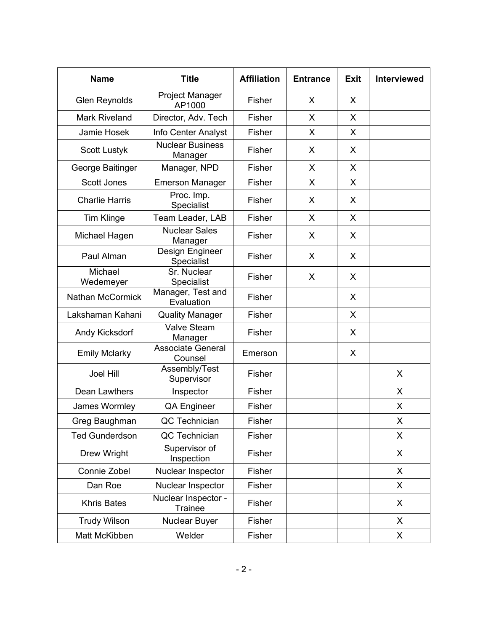| <b>Name</b>             | <b>Title</b>                          | <b>Affiliation</b> | <b>Entrance</b> | <b>Exit</b>  | Interviewed |
|-------------------------|---------------------------------------|--------------------|-----------------|--------------|-------------|
| <b>Glen Reynolds</b>    | Project Manager<br>AP1000             | Fisher             | X               | X            |             |
| <b>Mark Riveland</b>    | Director, Adv. Tech                   | Fisher             | X               | X            |             |
| Jamie Hosek             | Info Center Analyst                   | Fisher             | X               | $\mathsf{X}$ |             |
| <b>Scott Lustyk</b>     | <b>Nuclear Business</b><br>Manager    | Fisher             | X               | X            |             |
| George Baitinger        | Manager, NPD                          | Fisher             | X               | X            |             |
| Scott Jones             | <b>Emerson Manager</b>                | Fisher             | X               | X            |             |
| <b>Charlie Harris</b>   | Proc. Imp.<br>Specialist              | Fisher             | X               | X            |             |
| <b>Tim Klinge</b>       | Team Leader, LAB                      | Fisher             | X               | X            |             |
| Michael Hagen           | <b>Nuclear Sales</b><br>Manager       | Fisher             | X               | X            |             |
| Paul Alman              | Design Engineer<br>Specialist         | Fisher             | X               | X            |             |
| Michael<br>Wedemeyer    | Sr. Nuclear<br>Specialist             | Fisher             | X               | X            |             |
| <b>Nathan McCormick</b> | Manager, Test and<br>Evaluation       | Fisher             |                 | X            |             |
| Lakshaman Kahani        | <b>Quality Manager</b>                | Fisher             |                 | X            |             |
| Andy Kicksdorf          | <b>Valve Steam</b><br>Manager         | Fisher             |                 | X            |             |
| <b>Emily Mclarky</b>    | <b>Associate General</b><br>Counsel   | Emerson            |                 | X            |             |
| <b>Joel Hill</b>        | Assembly/Test<br>Supervisor           | Fisher             |                 |              | X           |
| Dean Lawthers           | Inspector                             | Fisher             |                 |              | X           |
| James Wormley           | <b>QA Engineer</b>                    | Fisher             |                 |              | X           |
| Greg Baughman           | QC Technician                         | Fisher             |                 |              | X           |
| <b>Ted Gunderdson</b>   | QC Technician                         | Fisher             |                 |              | X           |
| Drew Wright             | Supervisor of<br>Inspection           | Fisher             |                 |              | X           |
| Connie Zobel            | Nuclear Inspector                     | Fisher             |                 |              | X           |
| Dan Roe                 | Nuclear Inspector                     | Fisher             |                 |              | X           |
| <b>Khris Bates</b>      | Nuclear Inspector -<br><b>Trainee</b> | Fisher             |                 |              | X           |
| <b>Trudy Wilson</b>     | Nuclear Buyer                         | Fisher             |                 |              | X           |
| Matt McKibben           | Welder                                | Fisher             |                 |              | X           |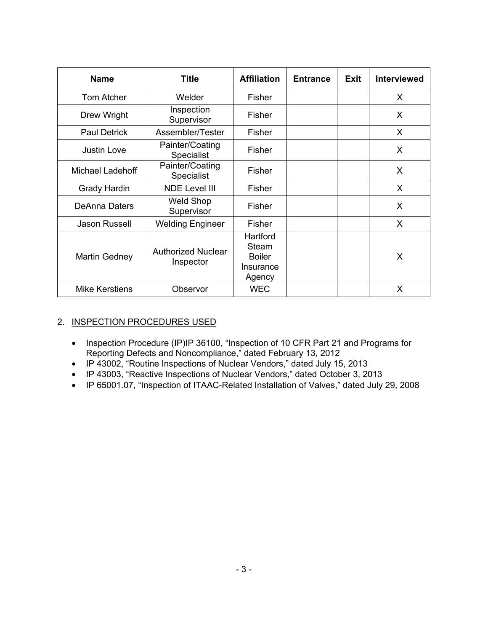| <b>Name</b>           | <b>Title</b>                           | <b>Affiliation</b>                                        | <b>Entrance</b> | <b>Exit</b> | <b>Interviewed</b> |
|-----------------------|----------------------------------------|-----------------------------------------------------------|-----------------|-------------|--------------------|
| <b>Tom Atcher</b>     | Welder                                 | Fisher                                                    |                 |             | X                  |
| Drew Wright           | Inspection<br>Supervisor               | Fisher                                                    |                 |             | X                  |
| <b>Paul Detrick</b>   | Assembler/Tester                       | Fisher                                                    |                 |             | X                  |
| <b>Justin Love</b>    | Painter/Coating<br>Specialist          | Fisher                                                    |                 |             | X                  |
| Michael Ladehoff      | Painter/Coating<br><b>Specialist</b>   | Fisher                                                    |                 |             | X                  |
| <b>Grady Hardin</b>   | <b>NDE Level III</b>                   | Fisher                                                    |                 |             | X                  |
| DeAnna Daters         | <b>Weld Shop</b><br>Supervisor         | Fisher                                                    |                 |             | X                  |
| Jason Russell         | <b>Welding Engineer</b>                | Fisher                                                    |                 |             | X                  |
| Martin Gedney         | <b>Authorized Nuclear</b><br>Inspector | Hartford<br>Steam<br><b>Boiler</b><br>Insurance<br>Agency |                 |             | X                  |
| <b>Mike Kerstiens</b> | Observor                               | <b>WEC</b>                                                |                 |             | X                  |

# 2. INSPECTION PROCEDURES USED

- Inspection Procedure (IP)IP 36100, "Inspection of 10 CFR Part 21 and Programs for Reporting Defects and Noncompliance," dated February 13, 2012
- IP 43002, "Routine Inspections of Nuclear Vendors," dated July 15, 2013
- IP 43003, "Reactive Inspections of Nuclear Vendors," dated October 3, 2013
- IP 65001.07, "Inspection of ITAAC-Related Installation of Valves," dated July 29, 2008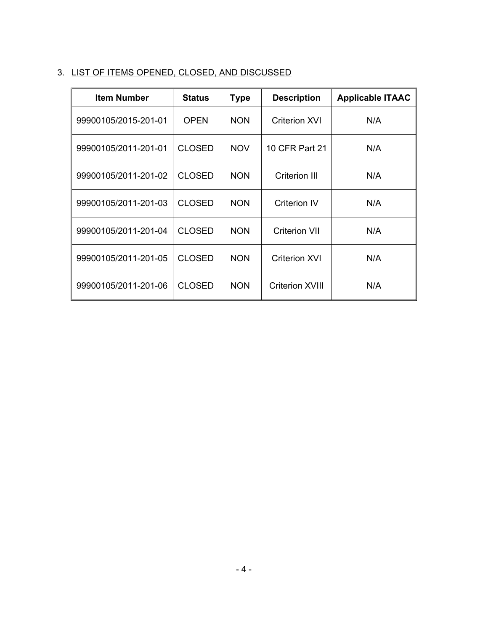# 3. LIST OF ITEMS OPENED, CLOSED, AND DISCUSSED

| <b>Item Number</b>   | <b>Status</b> | <b>Type</b> | <b>Description</b>     | <b>Applicable ITAAC</b> |
|----------------------|---------------|-------------|------------------------|-------------------------|
| 99900105/2015-201-01 | <b>OPEN</b>   | <b>NON</b>  | <b>Criterion XVI</b>   | N/A                     |
| 99900105/2011-201-01 | <b>CLOSED</b> | <b>NOV</b>  | 10 CFR Part 21         | N/A                     |
| 99900105/2011-201-02 | <b>CLOSED</b> | <b>NON</b>  | Criterion III          | N/A                     |
| 99900105/2011-201-03 | <b>CLOSED</b> | <b>NON</b>  | <b>Criterion IV</b>    | N/A                     |
| 99900105/2011-201-04 | <b>CLOSED</b> | <b>NON</b>  | <b>Criterion VII</b>   | N/A                     |
| 99900105/2011-201-05 | <b>CLOSED</b> | <b>NON</b>  | <b>Criterion XVI</b>   | N/A                     |
| 99900105/2011-201-06 | <b>CLOSED</b> | <b>NON</b>  | <b>Criterion XVIII</b> | N/A                     |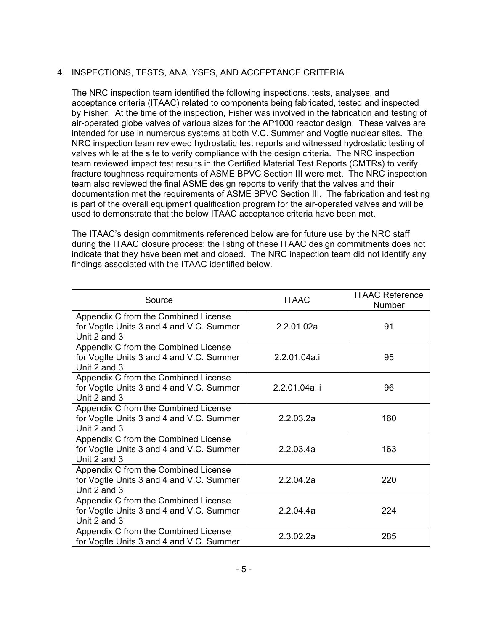# 4. INSPECTIONS, TESTS, ANALYSES, AND ACCEPTANCE CRITERIA

The NRC inspection team identified the following inspections, tests, analyses, and acceptance criteria (ITAAC) related to components being fabricated, tested and inspected by Fisher. At the time of the inspection, Fisher was involved in the fabrication and testing of air-operated globe valves of various sizes for the AP1000 reactor design. These valves are intended for use in numerous systems at both V.C. Summer and Vogtle nuclear sites. The NRC inspection team reviewed hydrostatic test reports and witnessed hydrostatic testing of valves while at the site to verify compliance with the design criteria. The NRC inspection team reviewed impact test results in the Certified Material Test Reports (CMTRs) to verify fracture toughness requirements of ASME BPVC Section III were met. The NRC inspection team also reviewed the final ASME design reports to verify that the valves and their documentation met the requirements of ASME BPVC Section III. The fabrication and testing is part of the overall equipment qualification program for the air-operated valves and will be used to demonstrate that the below ITAAC acceptance criteria have been met.

The ITAAC's design commitments referenced below are for future use by the NRC staff during the ITAAC closure process; the listing of these ITAAC design commitments does not indicate that they have been met and closed. The NRC inspection team did not identify any findings associated with the ITAAC identified below.

| Source                                                                                           | <b>ITAAC</b>  | <b>ITAAC Reference</b><br>Number |
|--------------------------------------------------------------------------------------------------|---------------|----------------------------------|
| Appendix C from the Combined License<br>for Vogtle Units 3 and 4 and V.C. Summer<br>Unit 2 and 3 | 2.2.01.02a    | 91                               |
| Appendix C from the Combined License<br>for Vogtle Units 3 and 4 and V.C. Summer<br>Unit 2 and 3 | 2.2.01.04a.i  | 95                               |
| Appendix C from the Combined License<br>for Vogtle Units 3 and 4 and V.C. Summer<br>Unit 2 and 3 | 2.2.01.04a.ii | 96                               |
| Appendix C from the Combined License<br>for Vogtle Units 3 and 4 and V.C. Summer<br>Unit 2 and 3 | 2.2.03.2a     | 160                              |
| Appendix C from the Combined License<br>for Vogtle Units 3 and 4 and V.C. Summer<br>Unit 2 and 3 | 2.2.03.4a     | 163                              |
| Appendix C from the Combined License<br>for Vogtle Units 3 and 4 and V.C. Summer<br>Unit 2 and 3 | 2.2.04.2a     | 220                              |
| Appendix C from the Combined License<br>for Vogtle Units 3 and 4 and V.C. Summer<br>Unit 2 and 3 | 2.2.04.4a     | 224                              |
| Appendix C from the Combined License<br>for Vogtle Units 3 and 4 and V.C. Summer                 | 2.3.02.2a     | 285                              |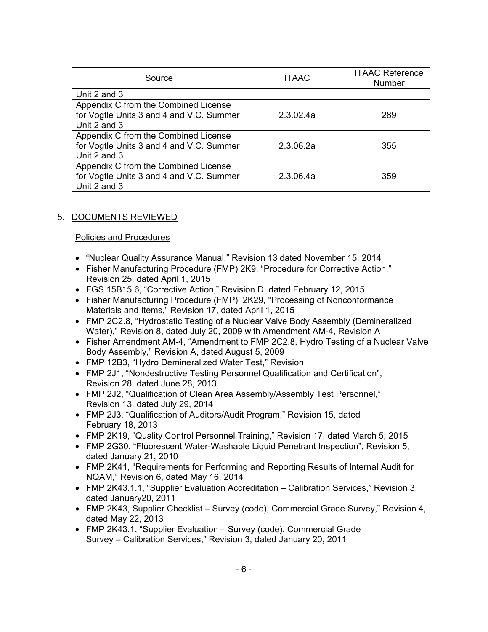| Source                                   | <b>ITAAC</b> | <b>ITAAC Reference</b><br>Number |
|------------------------------------------|--------------|----------------------------------|
| Unit 2 and 3                             |              |                                  |
| Appendix C from the Combined License     |              |                                  |
| for Vogtle Units 3 and 4 and V.C. Summer | 2.3.02.4a    | 289                              |
| Unit 2 and 3                             |              |                                  |
| Appendix C from the Combined License     |              |                                  |
| for Vogtle Units 3 and 4 and V.C. Summer | 2.3.06.2a    | 355                              |
| Unit 2 and 3                             |              |                                  |
| Appendix C from the Combined License     |              |                                  |
| for Vogtle Units 3 and 4 and V.C. Summer | 2.3.06.4a    | 359                              |
| Unit 2 and 3                             |              |                                  |

# 5. DOCUMENTS REVIEWED

### Policies and Procedures

- "Nuclear Quality Assurance Manual," Revision 13 dated November 15, 2014
- Fisher Manufacturing Procedure (FMP) 2K9, "Procedure for Corrective Action," Revision 25, dated April 1, 2015
- FGS 15B15.6, "Corrective Action," Revision D, dated February 12, 2015
- Fisher Manufacturing Procedure (FMP) 2K29, "Processing of Nonconformance Materials and Items," Revision 17, dated April 1, 2015
- FMP 2C2.8, "Hydrostatic Testing of a Nuclear Valve Body Assembly (Demineralized Water)," Revision 8, dated July 20, 2009 with Amendment AM-4, Revision A
- Fisher Amendment AM-4, "Amendment to FMP 2C2.8, Hydro Testing of a Nuclear Valve Body Assembly," Revision A, dated August 5, 2009
- FMP 12B3, "Hydro Demineralized Water Test," Revision
- FMP 2J1, "Nondestructive Testing Personnel Qualification and Certification", Revision 28, dated June 28, 2013
- FMP 2J2, "Qualification of Clean Area Assembly/Assembly Test Personnel," Revision 13, dated July 29, 2014
- FMP 2J3, "Qualification of Auditors/Audit Program," Revision 15, dated February 18, 2013
- FMP 2K19, "Quality Control Personnel Training," Revision 17, dated March 5, 2015
- FMP 2G30, "Fluorescent Water-Washable Liquid Penetrant Inspection", Revision 5, dated January 21, 2010
- FMP 2K41, "Requirements for Performing and Reporting Results of Internal Audit for NQAM," Revision 6, dated May 16, 2014
- FMP 2K43.1.1, "Supplier Evaluation Accreditation Calibration Services," Revision 3, dated January20, 2011
- FMP 2K43, Supplier Checklist Survey (code), Commercial Grade Survey," Revision 4, dated May 22, 2013
- FMP 2K43.1, "Supplier Evaluation Survey (code), Commercial Grade Survey – Calibration Services," Revision 3, dated January 20, 2011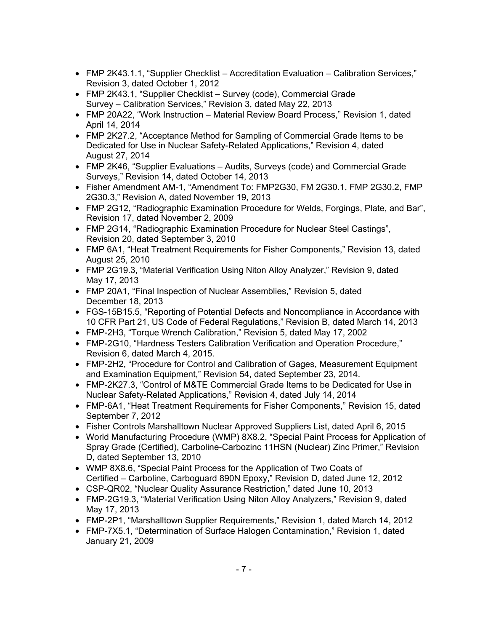- FMP 2K43.1.1, "Supplier Checklist Accreditation Evaluation Calibration Services," Revision 3, dated October 1, 2012
- FMP 2K43.1, "Supplier Checklist Survey (code), Commercial Grade Survey – Calibration Services," Revision 3, dated May 22, 2013
- FMP 20A22, "Work Instruction Material Review Board Process," Revision 1, dated April 14, 2014
- FMP 2K27.2, "Acceptance Method for Sampling of Commercial Grade Items to be Dedicated for Use in Nuclear Safety-Related Applications," Revision 4, dated August 27, 2014
- FMP 2K46, "Supplier Evaluations Audits, Surveys (code) and Commercial Grade Surveys," Revision 14, dated October 14, 2013
- Fisher Amendment AM-1, "Amendment To: FMP2G30, FM 2G30.1, FMP 2G30.2, FMP 2G30.3," Revision A, dated November 19, 2013
- FMP 2G12, "Radiographic Examination Procedure for Welds, Forgings, Plate, and Bar", Revision 17, dated November 2, 2009
- FMP 2G14, "Radiographic Examination Procedure for Nuclear Steel Castings", Revision 20, dated September 3, 2010
- FMP 6A1, "Heat Treatment Requirements for Fisher Components," Revision 13, dated August 25, 2010
- FMP 2G19.3, "Material Verification Using Niton Alloy Analyzer," Revision 9, dated May 17, 2013
- FMP 20A1, "Final Inspection of Nuclear Assemblies," Revision 5, dated December 18, 2013
- FGS-15B15.5, "Reporting of Potential Defects and Noncompliance in Accordance with 10 CFR Part 21, US Code of Federal Regulations," Revision B, dated March 14, 2013
- FMP-2H3, "Torque Wrench Calibration," Revision 5, dated May 17, 2002
- FMP-2G10, "Hardness Testers Calibration Verification and Operation Procedure," Revision 6, dated March 4, 2015.
- FMP-2H2, "Procedure for Control and Calibration of Gages, Measurement Equipment and Examination Equipment," Revision 54, dated September 23, 2014.
- FMP-2K27.3, "Control of M&TE Commercial Grade Items to be Dedicated for Use in Nuclear Safety-Related Applications," Revision 4, dated July 14, 2014
- FMP-6A1, "Heat Treatment Requirements for Fisher Components," Revision 15, dated September 7, 2012
- Fisher Controls Marshalltown Nuclear Approved Suppliers List, dated April 6, 2015
- World Manufacturing Procedure (WMP) 8X8.2, "Special Paint Process for Application of Spray Grade (Certified), Carboline-Carbozinc 11HSN (Nuclear) Zinc Primer," Revision D, dated September 13, 2010
- WMP 8X8.6, "Special Paint Process for the Application of Two Coats of Certified – Carboline, Carboguard 890N Epoxy," Revision D, dated June 12, 2012
- CSP-QR02, "Nuclear Quality Assurance Restriction," dated June 10, 2013
- FMP-2G19.3, "Material Verification Using Niton Alloy Analyzers," Revision 9, dated May 17, 2013
- FMP-2P1, "Marshalltown Supplier Requirements," Revision 1, dated March 14, 2012
- FMP-7X5.1, "Determination of Surface Halogen Contamination," Revision 1, dated January 21, 2009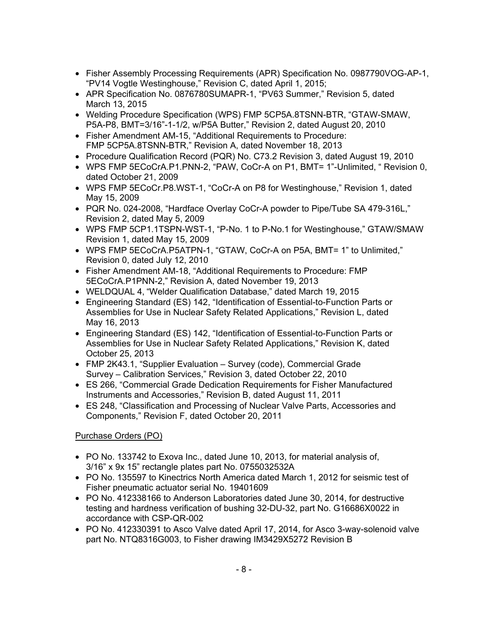- Fisher Assembly Processing Requirements (APR) Specification No. 0987790VOG-AP-1, "PV14 Vogtle Westinghouse," Revision C, dated April 1, 2015;
- APR Specification No. 0876780SUMAPR-1, "PV63 Summer," Revision 5, dated March 13, 2015
- Welding Procedure Specification (WPS) FMP 5CP5A.8TSNN-BTR, "GTAW-SMAW, P5A-P8, BMT=3/16"-1-1/2, w/P5A Butter," Revision 2, dated August 20, 2010
- Fisher Amendment AM-15, "Additional Requirements to Procedure: FMP 5CP5A.8TSNN-BTR," Revision A, dated November 18, 2013
- Procedure Qualification Record (PQR) No. C73.2 Revision 3, dated August 19, 2010
- WPS FMP 5ECoCrA.P1.PNN-2, "PAW, CoCr-A on P1, BMT= 1"-Unlimited, " Revision 0, dated October 21, 2009
- WPS FMP 5ECoCr.P8.WST-1, "CoCr-A on P8 for Westinghouse," Revision 1, dated May 15, 2009
- PQR No. 024-2008, "Hardface Overlay CoCr-A powder to Pipe/Tube SA 479-316L," Revision 2, dated May 5, 2009
- WPS FMP 5CP1.1TSPN-WST-1, "P-No. 1 to P-No.1 for Westinghouse," GTAW/SMAW Revision 1, dated May 15, 2009
- WPS FMP 5ECoCrA.P5ATPN-1, "GTAW, CoCr-A on P5A, BMT= 1" to Unlimited," Revision 0, dated July 12, 2010
- Fisher Amendment AM-18, "Additional Requirements to Procedure: FMP 5ECoCrA.P1PNN-2," Revision A, dated November 19, 2013
- WELDQUAL 4, "Welder Qualification Database," dated March 19, 2015
- Engineering Standard (ES) 142, "Identification of Essential-to-Function Parts or Assemblies for Use in Nuclear Safety Related Applications," Revision L, dated May 16, 2013
- Engineering Standard (ES) 142, "Identification of Essential-to-Function Parts or Assemblies for Use in Nuclear Safety Related Applications," Revision K, dated October 25, 2013
- FMP 2K43.1, "Supplier Evaluation Survey (code), Commercial Grade Survey – Calibration Services," Revision 3, dated October 22, 2010
- ES 266, "Commercial Grade Dedication Requirements for Fisher Manufactured Instruments and Accessories," Revision B, dated August 11, 2011
- ES 248, "Classification and Processing of Nuclear Valve Parts, Accessories and Components," Revision F, dated October 20, 2011

## Purchase Orders (PO)

- PO No. 133742 to Exova Inc., dated June 10, 2013, for material analysis of, 3/16" x 9x 15" rectangle plates part No. 0755032532A
- PO No. 135597 to Kinectrics North America dated March 1, 2012 for seismic test of Fisher pneumatic actuator serial No. 19401609
- PO No. 412338166 to Anderson Laboratories dated June 30, 2014, for destructive testing and hardness verification of bushing 32-DU-32, part No. G16686X0022 in accordance with CSP-QR-002
- PO No. 412330391 to Asco Valve dated April 17, 2014, for Asco 3-way-solenoid valve part No. NTQ8316G003, to Fisher drawing IM3429X5272 Revision B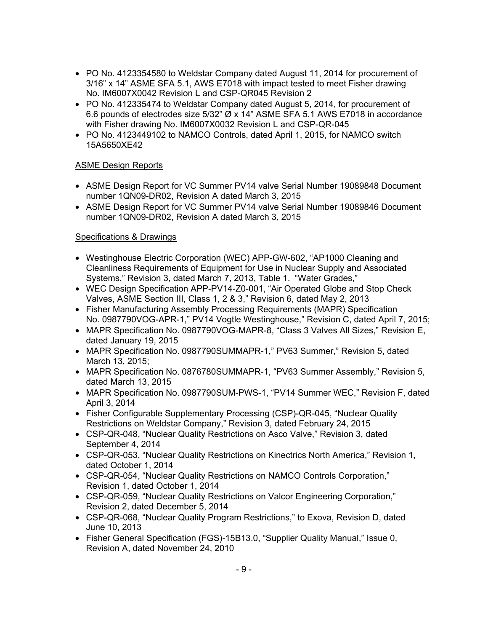- PO No. 4123354580 to Weldstar Company dated August 11, 2014 for procurement of 3/16" x 14" ASME SFA 5.1, AWS E7018 with impact tested to meet Fisher drawing No. IM6007X0042 Revision L and CSP-QR045 Revision 2
- PO No. 412335474 to Weldstar Company dated August 5, 2014, for procurement of 6.6 pounds of electrodes size 5/32" Ø x 14" ASME SFA 5.1 AWS E7018 in accordance with Fisher drawing No. IM6007X0032 Revision L and CSP-QR-045
- PO No. 4123449102 to NAMCO Controls, dated April 1, 2015, for NAMCO switch 15A5650XE42

### ASME Design Reports

- ASME Design Report for VC Summer PV14 valve Serial Number 19089848 Document number 1QN09-DR02, Revision A dated March 3, 2015
- ASME Design Report for VC Summer PV14 valve Serial Number 19089846 Document number 1QN09-DR02, Revision A dated March 3, 2015

### Specifications & Drawings

- Westinghouse Electric Corporation (WEC) APP-GW-602, "AP1000 Cleaning and Cleanliness Requirements of Equipment for Use in Nuclear Supply and Associated Systems," Revision 3, dated March 7, 2013, Table 1. "Water Grades,"
- WEC Design Specification APP-PV14-Z0-001, "Air Operated Globe and Stop Check Valves, ASME Section III, Class 1, 2 & 3," Revision 6, dated May 2, 2013
- Fisher Manufacturing Assembly Processing Requirements (MAPR) Specification No. 0987790VOG-APR-1," PV14 Vogtle Westinghouse," Revision C, dated April 7, 2015;
- MAPR Specification No. 0987790VOG-MAPR-8, "Class 3 Valves All Sizes," Revision E, dated January 19, 2015
- MAPR Specification No. 0987790SUMMAPR-1," PV63 Summer," Revision 5, dated March 13, 2015;
- MAPR Specification No. 0876780SUMMAPR-1, "PV63 Summer Assembly," Revision 5, dated March 13, 2015
- MAPR Specification No. 0987790SUM-PWS-1, "PV14 Summer WEC," Revision F, dated April 3, 2014
- Fisher Configurable Supplementary Processing (CSP)-QR-045, "Nuclear Quality Restrictions on Weldstar Company," Revision 3, dated February 24, 2015
- CSP-QR-048, "Nuclear Quality Restrictions on Asco Valve," Revision 3, dated September 4, 2014
- CSP-QR-053, "Nuclear Quality Restrictions on Kinectrics North America," Revision 1, dated October 1, 2014
- CSP-QR-054, "Nuclear Quality Restrictions on NAMCO Controls Corporation," Revision 1, dated October 1, 2014
- CSP-QR-059, "Nuclear Quality Restrictions on Valcor Engineering Corporation," Revision 2, dated December 5, 2014
- CSP-QR-068, "Nuclear Quality Program Restrictions," to Exova, Revision D, dated June 10, 2013
- Fisher General Specification (FGS)-15B13.0, "Supplier Quality Manual," Issue 0, Revision A, dated November 24, 2010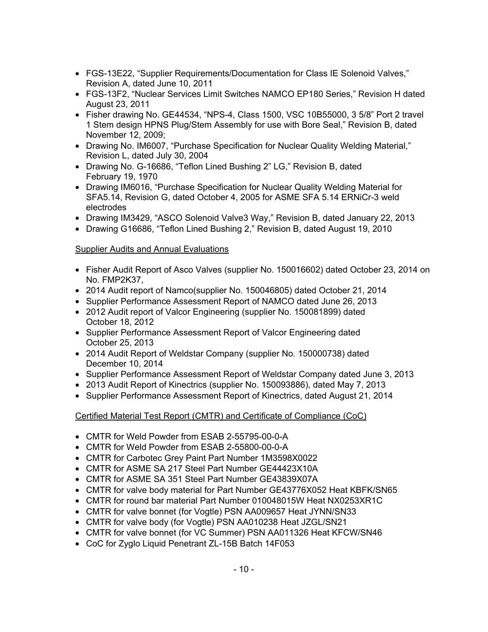- FGS-13E22, "Supplier Requirements/Documentation for Class IE Solenoid Valves," Revision A, dated June 10, 2011
- FGS-13F2, "Nuclear Services Limit Switches NAMCO EP180 Series," Revision H dated August 23, 2011
- Fisher drawing No. GE44534, "NPS-4, Class 1500, VSC 10B55000, 3 5/8" Port 2 travel 1 Stem design HPNS Plug/Stem Assembly for use with Bore Seal," Revision B, dated November 12, 2009;
- Drawing No. IM6007, "Purchase Specification for Nuclear Quality Welding Material," Revision L, dated July 30, 2004
- Drawing No. G-16686, "Teflon Lined Bushing 2" LG," Revision B, dated February 19, 1970
- Drawing IM6016, "Purchase Specification for Nuclear Quality Welding Material for SFA5.14, Revision G, dated October 4, 2005 for ASME SFA 5.14 ERNiCr-3 weld electrodes
- Drawing IM3429, "ASCO Solenoid Valve3 Way," Revision B, dated January 22, 2013
- Drawing G16686, "Teflon Lined Bushing 2," Revision B, dated August 19, 2010

## Supplier Audits and Annual Evaluations

- Fisher Audit Report of Asco Valves (supplier No. 150016602) dated October 23, 2014 on No. FMP2K37,
- 2014 Audit report of Namco(supplier No. 150046805) dated October 21, 2014
- Supplier Performance Assessment Report of NAMCO dated June 26, 2013
- 2012 Audit report of Valcor Engineering (supplier No. 150081899) dated October 18, 2012
- Supplier Performance Assessment Report of Valcor Engineering dated October 25, 2013
- 2014 Audit Report of Weldstar Company (supplier No. 150000738) dated December 10, 2014
- Supplier Performance Assessment Report of Weldstar Company dated June 3, 2013
- 2013 Audit Report of Kinectrics (supplier No. 150093886), dated May 7, 2013
- Supplier Performance Assessment Report of Kinectrics, dated August 21, 2014

## Certified Material Test Report (CMTR) and Certificate of Compliance (CoC)

- CMTR for Weld Powder from ESAB 2-55795-00-0-A
- CMTR for Weld Powder from ESAB 2-55800-00-0-A
- CMTR for Carbotec Grey Paint Part Number 1M3598X0022
- CMTR for ASME SA 217 Steel Part Number GE44423X10A
- CMTR for ASME SA 351 Steel Part Number GE43839X07A
- CMTR for valve body material for Part Number GE43776X052 Heat KBFK/SN65
- CMTR for round bar material Part Number 010048015W Heat NX0253XR1C
- CMTR for valve bonnet (for Vogtle) PSN AA009657 Heat JYNN/SN33
- CMTR for valve body (for Vogtle) PSN AA010238 Heat JZGL/SN21
- CMTR for valve bonnet (for VC Summer) PSN AA011326 Heat KFCW/SN46
- CoC for Zyglo Liquid Penetrant ZL-15B Batch 14F053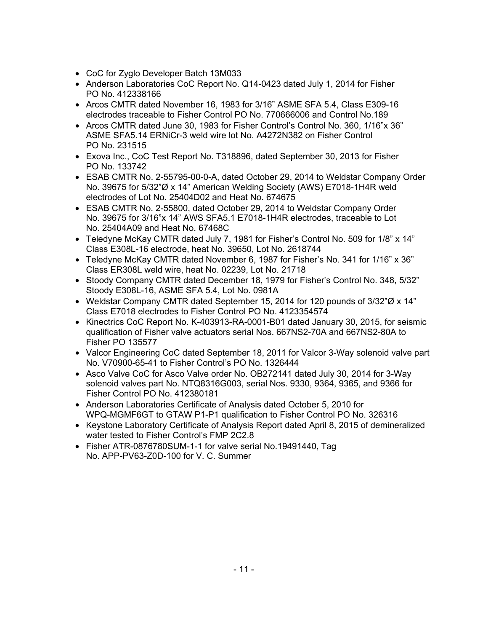- CoC for Zyglo Developer Batch 13M033
- Anderson Laboratories CoC Report No. Q14-0423 dated July 1, 2014 for Fisher PO No. 412338166
- Arcos CMTR dated November 16, 1983 for 3/16" ASME SFA 5.4, Class E309-16 electrodes traceable to Fisher Control PO No. 770666006 and Control No.189
- Arcos CMTR dated June 30, 1983 for Fisher Control's Control No. 360, 1/16"x 36" ASME SFA5.14 ERNiCr-3 weld wire lot No. A4272N382 on Fisher Control PO No. 231515
- Exova Inc., CoC Test Report No. T318896, dated September 30, 2013 for Fisher PO No. 133742
- ESAB CMTR No. 2-55795-00-0-A, dated October 29, 2014 to Weldstar Company Order No. 39675 for 5/32"Ø x 14" American Welding Society (AWS) E7018-1H4R weld electrodes of Lot No. 25404D02 and Heat No. 674675
- ESAB CMTR No. 2-55800, dated October 29, 2014 to Weldstar Company Order No. 39675 for 3/16"x 14" AWS SFA5.1 E7018-1H4R electrodes, traceable to Lot No. 25404A09 and Heat No. 67468C
- Teledyne McKay CMTR dated July 7, 1981 for Fisher's Control No. 509 for 1/8" x 14" Class E308L-16 electrode, heat No. 39650, Lot No. 2618744
- Teledyne McKay CMTR dated November 6, 1987 for Fisher's No. 341 for 1/16" x 36" Class ER308L weld wire, heat No. 02239, Lot No. 21718
- Stoody Company CMTR dated December 18, 1979 for Fisher's Control No. 348, 5/32" Stoody E308L-16, ASME SFA 5.4, Lot No. 0981A
- Weldstar Company CMTR dated September 15, 2014 for 120 pounds of 3/32"Ø x 14" Class E7018 electrodes to Fisher Control PO No. 4123354574
- Kinectrics CoC Report No. K-403913-RA-0001-B01 dated January 30, 2015, for seismic qualification of Fisher valve actuators serial Nos. 667NS2-70A and 667NS2-80A to Fisher PO 135577
- Valcor Engineering CoC dated September 18, 2011 for Valcor 3-Way solenoid valve part No. V70900-65-41 to Fisher Control's PO No. 1326444
- Asco Valve CoC for Asco Valve order No. OB272141 dated July 30, 2014 for 3-Way solenoid valves part No. NTQ8316G003, serial Nos. 9330, 9364, 9365, and 9366 for Fisher Control PO No. 412380181
- Anderson Laboratories Certificate of Analysis dated October 5, 2010 for WPQ-MGMF6GT to GTAW P1-P1 qualification to Fisher Control PO No. 326316
- Keystone Laboratory Certificate of Analysis Report dated April 8, 2015 of demineralized water tested to Fisher Control's FMP 2C2.8
- Fisher ATR-0876780SUM-1-1 for valve serial No.19491440, Tag No. APP-PV63-Z0D-100 for V. C. Summer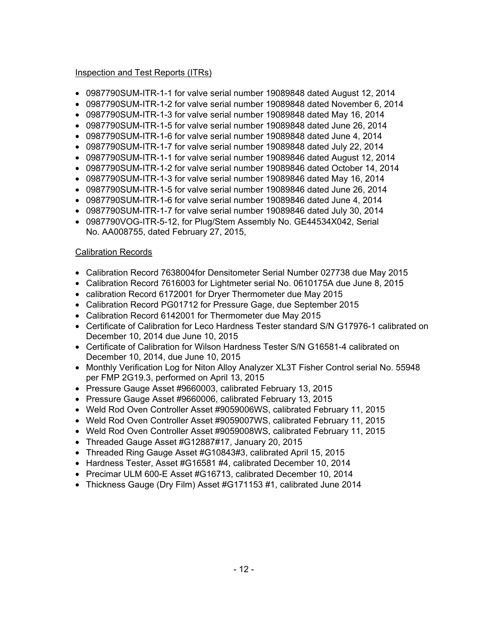### Inspection and Test Reports (ITRs)

- 0987790SUM-ITR-1-1 for valve serial number 19089848 dated August 12, 2014
- 0987790SUM-ITR-1-2 for valve serial number 19089848 dated November 6, 2014
- 0987790SUM-ITR-1-3 for valve serial number 19089848 dated May 16, 2014
- 0987790SUM-ITR-1-5 for valve serial number 19089848 dated June 26, 2014
- 0987790SUM-ITR-1-6 for valve serial number 19089848 dated June 4, 2014
- 0987790SUM-ITR-1-7 for valve serial number 19089848 dated July 22, 2014
- 0987790SUM-ITR-1-1 for valve serial number 19089846 dated August 12, 2014
- 0987790SUM-ITR-1-2 for valve serial number 19089846 dated October 14, 2014
- 0987790SUM-ITR-1-3 for valve serial number 19089846 dated May 16, 2014
- 0987790SUM-ITR-1-5 for valve serial number 19089846 dated June 26, 2014
- 0987790SUM-ITR-1-6 for valve serial number 19089846 dated June 4, 2014
- 0987790SUM-ITR-1-7 for valve serial number 19089846 dated July 30, 2014
- 0987790VOG-ITR-5-12, for Plug/Stem Assembly No. GE44534X042, Serial No. AA008755, dated February 27, 2015,

## Calibration Records

- Calibration Record 7638004for Densitometer Serial Number 027738 due May 2015
- Calibration Record 7616003 for Lightmeter serial No. 0610175A due June 8, 2015
- calibration Record 6172001 for Dryer Thermometer due May 2015
- Calibration Record PG01712 for Pressure Gage, due September 2015
- Calibration Record 6142001 for Thermometer due May 2015
- Certificate of Calibration for Leco Hardness Tester standard S/N G17976-1 calibrated on December 10, 2014 due June 10, 2015
- Certificate of Calibration for Wilson Hardness Tester S/N G16581-4 calibrated on December 10, 2014, due June 10, 2015
- Monthly Verification Log for Niton Alloy Analyzer XL3T Fisher Control serial No. 55948 per FMP 2G19.3, performed on April 13, 2015
- Pressure Gauge Asset #9660003, calibrated February 13, 2015
- Pressure Gauge Asset #9660006, calibrated February 13, 2015
- Weld Rod Oven Controller Asset #9059006WS, calibrated February 11, 2015
- Weld Rod Oven Controller Asset #9059007WS, calibrated February 11, 2015
- Weld Rod Oven Controller Asset #9059008WS, calibrated February 11, 2015
- Threaded Gauge Asset #G12887#17, January 20, 2015
- Threaded Ring Gauge Asset #G10843#3, calibrated April 15, 2015
- Hardness Tester, Asset #G16581 #4, calibrated December 10, 2014
- Precimar ULM 600-E Asset #G16713, calibrated December 10, 2014
- Thickness Gauge (Dry Film) Asset #G171153 #1, calibrated June 2014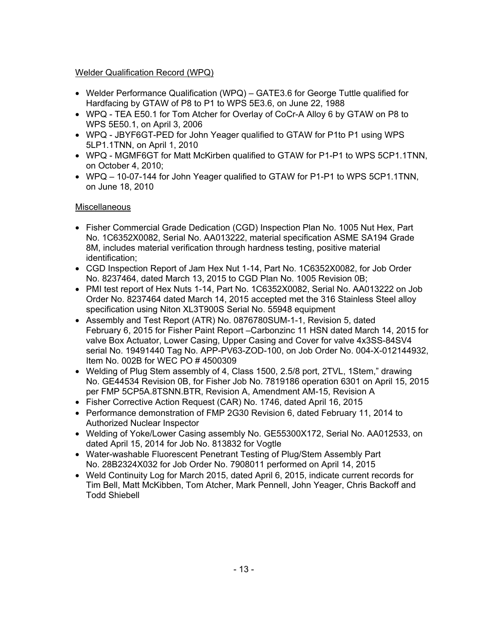# Welder Qualification Record (WPQ)

- Welder Performance Qualification (WPQ) GATE3.6 for George Tuttle qualified for Hardfacing by GTAW of P8 to P1 to WPS 5E3.6, on June 22, 1988
- WPQ TEA E50.1 for Tom Atcher for Overlay of CoCr-A Alloy 6 by GTAW on P8 to WPS 5E50.1, on April 3, 2006
- WPQ JBYF6GT-PED for John Yeager qualified to GTAW for P1to P1 using WPS 5LP1.1TNN, on April 1, 2010
- WPQ MGMF6GT for Matt McKirben qualified to GTAW for P1-P1 to WPS 5CP1.1TNN, on October 4, 2010;
- WPQ 10-07-144 for John Yeager qualified to GTAW for P1-P1 to WPS 5CP1.1TNN, on June 18, 2010

# Miscellaneous

- Fisher Commercial Grade Dedication (CGD) Inspection Plan No. 1005 Nut Hex, Part No. 1C6352X0082, Serial No. AA013222, material specification ASME SA194 Grade 8M, includes material verification through hardness testing, positive material identification;
- CGD Inspection Report of Jam Hex Nut 1-14, Part No. 1C6352X0082, for Job Order No. 8237464, dated March 13, 2015 to CGD Plan No. 1005 Revision 0B;
- PMI test report of Hex Nuts 1-14, Part No. 1C6352X0082, Serial No. AA013222 on Job Order No. 8237464 dated March 14, 2015 accepted met the 316 Stainless Steel alloy specification using Niton XL3T900S Serial No. 55948 equipment
- Assembly and Test Report (ATR) No. 0876780SUM-1-1, Revision 5, dated February 6, 2015 for Fisher Paint Report –Carbonzinc 11 HSN dated March 14, 2015 for valve Box Actuator, Lower Casing, Upper Casing and Cover for valve 4x3SS-84SV4 serial No. 19491440 Tag No. APP-PV63-ZOD-100, on Job Order No. 004-X-012144932, Item No. 002B for WEC PO # 4500309
- Welding of Plug Stem assembly of 4, Class 1500, 2.5/8 port, 2TVL, 1Stem," drawing No. GE44534 Revision 0B, for Fisher Job No. 7819186 operation 6301 on April 15, 2015 per FMP 5CP5A.8TSNN.BTR, Revision A, Amendment AM-15, Revision A
- Fisher Corrective Action Request (CAR) No. 1746, dated April 16, 2015
- Performance demonstration of FMP 2G30 Revision 6, dated February 11, 2014 to Authorized Nuclear Inspector
- Welding of Yoke/Lower Casing assembly No. GE55300X172, Serial No. AA012533, on dated April 15, 2014 for Job No. 813832 for Vogtle
- Water-washable Fluorescent Penetrant Testing of Plug/Stem Assembly Part No. 28B2324X032 for Job Order No. 7908011 performed on April 14, 2015
- Weld Continuity Log for March 2015, dated April 6, 2015, indicate current records for Tim Bell, Matt McKibben, Tom Atcher, Mark Pennell, John Yeager, Chris Backoff and Todd Shiebell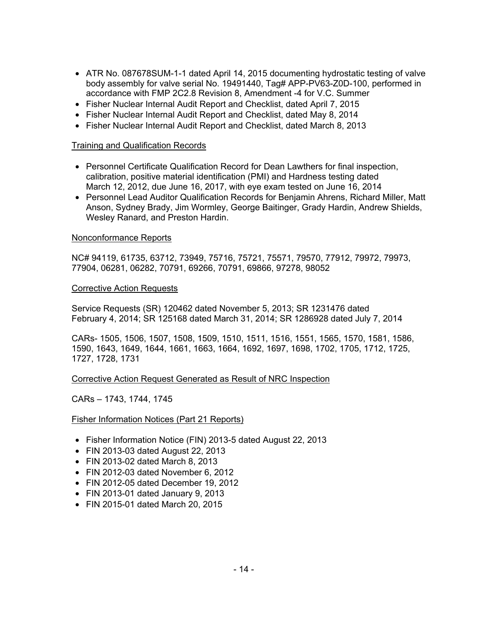- ATR No. 087678SUM-1-1 dated April 14, 2015 documenting hydrostatic testing of valve body assembly for valve serial No. 19491440, Tag# APP-PV63-Z0D-100, performed in accordance with FMP 2C2.8 Revision 8, Amendment -4 for V.C. Summer
- Fisher Nuclear Internal Audit Report and Checklist, dated April 7, 2015
- Fisher Nuclear Internal Audit Report and Checklist, dated May 8, 2014
- Fisher Nuclear Internal Audit Report and Checklist, dated March 8, 2013

#### Training and Qualification Records

- Personnel Certificate Qualification Record for Dean Lawthers for final inspection, calibration, positive material identification (PMI) and Hardness testing dated March 12, 2012, due June 16, 2017, with eye exam tested on June 16, 2014
- Personnel Lead Auditor Qualification Records for Benjamin Ahrens, Richard Miller, Matt Anson, Sydney Brady, Jim Wormley, George Baitinger, Grady Hardin, Andrew Shields, Wesley Ranard, and Preston Hardin.

#### Nonconformance Reports

NC# 94119, 61735, 63712, 73949, 75716, 75721, 75571, 79570, 77912, 79972, 79973, 77904, 06281, 06282, 70791, 69266, 70791, 69866, 97278, 98052

#### Corrective Action Requests

Service Requests (SR) 120462 dated November 5, 2013; SR 1231476 dated February 4, 2014; SR 125168 dated March 31, 2014; SR 1286928 dated July 7, 2014

CARs- 1505, 1506, 1507, 1508, 1509, 1510, 1511, 1516, 1551, 1565, 1570, 1581, 1586, 1590, 1643, 1649, 1644, 1661, 1663, 1664, 1692, 1697, 1698, 1702, 1705, 1712, 1725, 1727, 1728, 1731

### Corrective Action Request Generated as Result of NRC Inspection

CARs – 1743, 1744, 1745

Fisher Information Notices (Part 21 Reports)

- Fisher Information Notice (FIN) 2013-5 dated August 22, 2013
- FIN 2013-03 dated August 22, 2013
- FIN 2013-02 dated March 8, 2013
- FIN 2012-03 dated November 6, 2012
- FIN 2012-05 dated December 19, 2012
- FIN 2013-01 dated January 9, 2013
- FIN 2015-01 dated March 20, 2015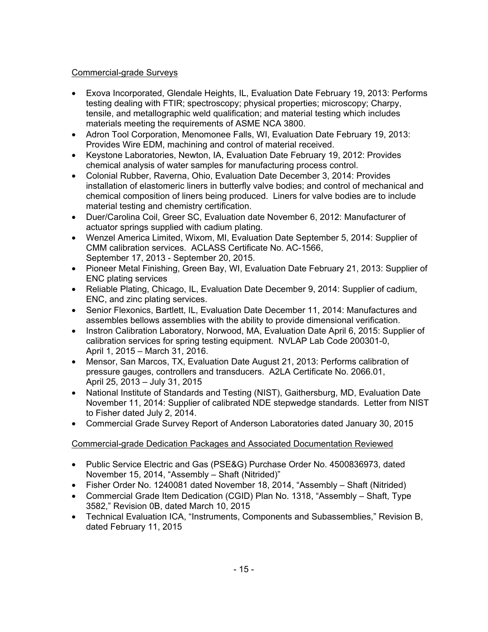## Commercial-grade Surveys

- Exova Incorporated, Glendale Heights, IL, Evaluation Date February 19, 2013: Performs testing dealing with FTIR; spectroscopy; physical properties; microscopy; Charpy, tensile, and metallographic weld qualification; and material testing which includes materials meeting the requirements of ASME NCA 3800.
- Adron Tool Corporation, Menomonee Falls, WI, Evaluation Date February 19, 2013: Provides Wire EDM, machining and control of material received.
- Keystone Laboratories, Newton, IA, Evaluation Date February 19, 2012: Provides chemical analysis of water samples for manufacturing process control.
- Colonial Rubber, Raverna, Ohio, Evaluation Date December 3, 2014: Provides installation of elastomeric liners in butterfly valve bodies; and control of mechanical and chemical composition of liners being produced. Liners for valve bodies are to include material testing and chemistry certification.
- Duer/Carolina Coil, Greer SC, Evaluation date November 6, 2012: Manufacturer of actuator springs supplied with cadium plating.
- Wenzel America Limited, Wixom, MI, Evaluation Date September 5, 2014: Supplier of CMM calibration services. ACLASS Certificate No. AC-1566, September 17, 2013 - September 20, 2015.
- Pioneer Metal Finishing, Green Bay, WI, Evaluation Date February 21, 2013: Supplier of ENC plating services
- Reliable Plating, Chicago, IL, Evaluation Date December 9, 2014: Supplier of cadium, ENC, and zinc plating services.
- Senior Flexonics, Bartlett, IL, Evaluation Date December 11, 2014: Manufactures and assembles bellows assemblies with the ability to provide dimensional verification.
- Instron Calibration Laboratory, Norwood, MA, Evaluation Date April 6, 2015: Supplier of calibration services for spring testing equipment. NVLAP Lab Code 200301-0, April 1, 2015 – March 31, 2016.
- Mensor, San Marcos, TX, Evaluation Date August 21, 2013: Performs calibration of pressure gauges, controllers and transducers. A2LA Certificate No. 2066.01, April 25, 2013 – July 31, 2015
- National Institute of Standards and Testing (NIST), Gaithersburg, MD, Evaluation Date November 11, 2014: Supplier of calibrated NDE stepwedge standards. Letter from NIST to Fisher dated July 2, 2014.
- Commercial Grade Survey Report of Anderson Laboratories dated January 30, 2015

# Commercial-grade Dedication Packages and Associated Documentation Reviewed

- Public Service Electric and Gas (PSE&G) Purchase Order No. 4500836973, dated November 15, 2014, "Assembly – Shaft (Nitrided)"
- Fisher Order No. 1240081 dated November 18, 2014, "Assembly Shaft (Nitrided)
- Commercial Grade Item Dedication (CGID) Plan No. 1318, "Assembly Shaft, Type 3582," Revision 0B, dated March 10, 2015
- Technical Evaluation ICA, "Instruments, Components and Subassemblies," Revision B, dated February 11, 2015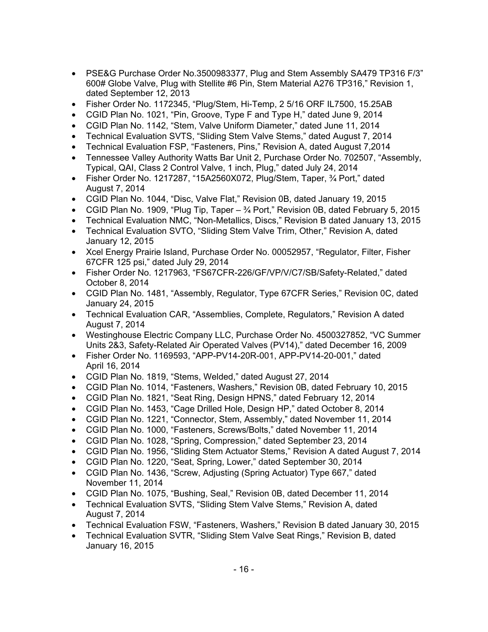- PSE&G Purchase Order No.3500983377, Plug and Stem Assembly SA479 TP316 F/3" 600# Globe Valve, Plug with Stellite #6 Pin, Stem Material A276 TP316," Revision 1, dated September 12, 2013
- Fisher Order No. 1172345, "Plug/Stem, Hi-Temp, 2 5/16 ORF IL7500, 15.25AB
- CGID Plan No. 1021, "Pin, Groove, Type F and Type H," dated June 9, 2014
- CGID Plan No. 1142, "Stem, Valve Uniform Diameter," dated June 11, 2014
- Technical Evaluation SVTS, "Sliding Stem Valve Stems," dated August 7, 2014
- Technical Evaluation FSP, "Fasteners, Pins," Revision A, dated August 7,2014
- Tennessee Valley Authority Watts Bar Unit 2, Purchase Order No. 702507, "Assembly, Typical, QAI, Class 2 Control Valve, 1 inch, Plug," dated July 24, 2014
- Fisher Order No. 1217287, "15A2560X072, Plug/Stem, Taper, 3/4 Port," dated August 7, 2014
- CGID Plan No. 1044, "Disc, Valve Flat," Revision 0B, dated January 19, 2015
- CGID Plan No. 1909, "Plug Tip, Taper  $-3/4$  Port," Revision 0B, dated February 5, 2015
- Technical Evaluation NMC, "Non-Metallics, Discs," Revision B dated January 13, 2015
- Technical Evaluation SVTO, "Sliding Stem Valve Trim, Other," Revision A, dated January 12, 2015
- Xcel Energy Prairie Island, Purchase Order No. 00052957, "Regulator, Filter, Fisher 67CFR 125 psi," dated July 29, 2014
- Fisher Order No. 1217963, "FS67CFR-226/GF/VP/V/C7/SB/Safety-Related," dated October 8, 2014
- CGID Plan No. 1481, "Assembly, Regulator, Type 67CFR Series," Revision 0C, dated January 24, 2015
- Technical Evaluation CAR, "Assemblies, Complete, Regulators," Revision A dated August 7, 2014
- Westinghouse Electric Company LLC, Purchase Order No. 4500327852, "VC Summer Units 2&3, Safety-Related Air Operated Valves (PV14)," dated December 16, 2009
- Fisher Order No. 1169593, "APP-PV14-20R-001, APP-PV14-20-001," dated April 16, 2014
- CGID Plan No. 1819, "Stems, Welded," dated August 27, 2014
- CGID Plan No. 1014, "Fasteners, Washers," Revision 0B, dated February 10, 2015
- CGID Plan No. 1821, "Seat Ring, Design HPNS," dated February 12, 2014
- CGID Plan No. 1453, "Cage Drilled Hole, Design HP," dated October 8, 2014
- CGID Plan No. 1221, "Connector, Stem, Assembly," dated November 11, 2014
- CGID Plan No. 1000, "Fasteners, Screws/Bolts," dated November 11, 2014
- CGID Plan No. 1028, "Spring, Compression," dated September 23, 2014
- CGID Plan No. 1956, "Sliding Stem Actuator Stems," Revision A dated August 7, 2014
- CGID Plan No. 1220, "Seat, Spring, Lower," dated September 30, 2014
- CGID Plan No. 1436, "Screw, Adjusting (Spring Actuator) Type 667," dated November 11, 2014
- CGID Plan No. 1075, "Bushing, Seal," Revision 0B, dated December 11, 2014
- Technical Evaluation SVTS, "Sliding Stem Valve Stems," Revision A, dated August 7, 2014
- Technical Evaluation FSW, "Fasteners, Washers," Revision B dated January 30, 2015
- Technical Evaluation SVTR, "Sliding Stem Valve Seat Rings," Revision B, dated January 16, 2015